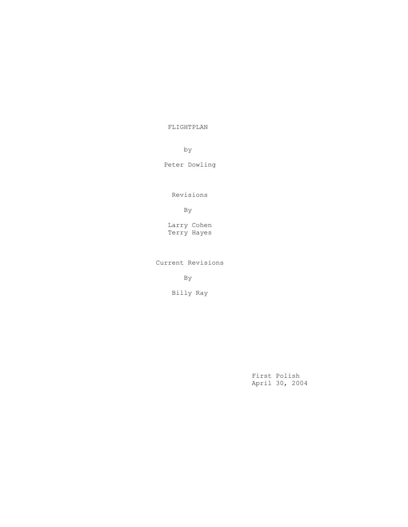FLIGHTPLAN

by

Peter Dowling

Revisions

By

 Larry Cohen Terry Hayes

Current Revisions

By

Billy Ray

 First Polish April 30, 2004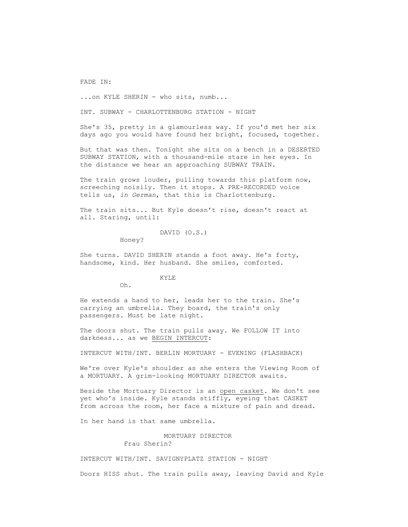FADE IN:

...on KYLE SHERIN - who sits, numb...

INT. SUBWAY - CHARLOTTENBURG STATION - NIGHT

 She's 35, pretty in a glamourless way. If you'd met her six days ago you would have found her bright, focused, together.

 But that was then. Tonight she sits on a bench in a DESERTED SUBWAY STATION, with a thousand-mile stare in her eyes. In the distance we hear an approaching SUBWAY TRAIN.

The train grows louder, pulling towards this platform now, screeching noisily. Then it stops. A PRE-RECORDED voice tells us, *in German*, that this is Charlottenburg.

 The train sits... But Kyle doesn't rise, doesn't react at all. Staring, until:

#### DAVID (O.S.)

Honey?

 She turns. DAVID SHERIN stands a foot away. He's forty, handsome, kind. Her husband. She smiles, comforted.

## KYLE

Oh.

 He extends a hand to her, leads her to the train. She's carrying an umbrella. They board, the train's only passengers. Must be late night.

 The doors shut. The train pulls away. We FOLLOW IT into darkness... as we BEGIN INTERCUT:

INTERCUT WITH/INT. BERLIN MORTUARY - EVENING (FLASHBACK)

 We're over Kyle's shoulder as she enters the Viewing Room of a MORTUARY. A grim-looking MORTUARY DIRECTOR awaits.

 Beside the Mortuary Director is an open casket. We don't see yet who's inside. Kyle stands stiffly, eyeing that CASKET from across the room, her face a mixture of pain and dread.

In her hand is that same umbrella.

 MORTUARY DIRECTOR Frau Sherin?

INTERCUT WITH/INT. SAVIGNYPLATZ STATION - NIGHT

Doors HISS shut. The train pulls away, leaving David and Kyle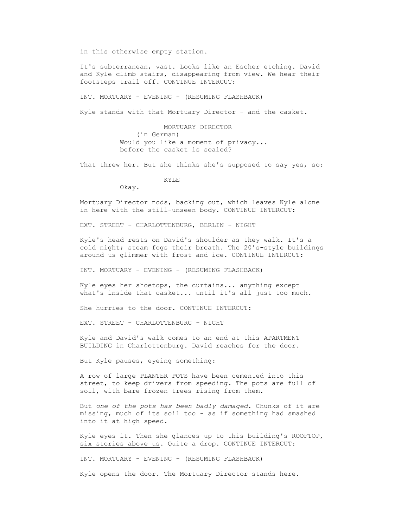in this otherwise empty station.

 It's subterranean, vast. Looks like an Escher etching. David and Kyle climb stairs, disappearing from view. We hear their footsteps trail off. CONTINUE INTERCUT:

INT. MORTUARY - EVENING - (RESUMING FLASHBACK)

Kyle stands with that Mortuary Director - and the casket.

 MORTUARY DIRECTOR (in German) Would you like a moment of privacy... before the casket is sealed?

That threw her. But she thinks she's supposed to say yes, so:

KYLE

Okay.

 Mortuary Director nods, backing out, which leaves Kyle alone in here with the still-unseen body. CONTINUE INTERCUT:

EXT. STREET - CHARLOTTENBURG, BERLIN - NIGHT

 Kyle's head rests on David's shoulder as they walk. It's a cold night; steam fogs their breath. The 20's-style buildings around us glimmer with frost and ice. CONTINUE INTERCUT:

INT. MORTUARY - EVENING - (RESUMING FLASHBACK)

 Kyle eyes her shoetops, the curtains... anything except what's inside that casket... until it's all just too much.

She hurries to the door. CONTINUE INTERCUT:

EXT. STREET - CHARLOTTENBURG - NIGHT

 Kyle and David's walk comes to an end at this APARTMENT BUILDING in Charlottenburg. David reaches for the door.

But Kyle pauses, eyeing something:

 A row of large PLANTER POTS have been cemented into this street, to keep drivers from speeding. The pots are full of soil, with bare frozen trees rising from them.

 But *one of the pots has been badly damaged*. Chunks of it are missing, much of its soil too - as if something had smashed into it at high speed.

 Kyle eyes it. Then she glances up to this building's ROOFTOP, six stories above us. Quite a drop. CONTINUE INTERCUT:

INT. MORTUARY - EVENING - (RESUMING FLASHBACK)

Kyle opens the door. The Mortuary Director stands here.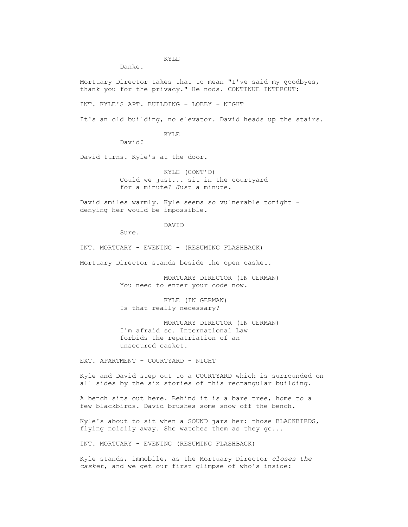## KYLE

Danke.

 Mortuary Director takes that to mean "I've said my goodbyes, thank you for the privacy." He nods. CONTINUE INTERCUT:

INT. KYLE'S APT. BUILDING - LOBBY - NIGHT

It's an old building, no elevator. David heads up the stairs.

KYLE

David?

David turns. Kyle's at the door.

 KYLE (CONT'D) Could we just... sit in the courtyard for a minute? Just a minute.

 David smiles warmly. Kyle seems so vulnerable tonight denying her would be impossible.

DAVID

Sure.

INT. MORTUARY - EVENING - (RESUMING FLASHBACK)

Mortuary Director stands beside the open casket.

 MORTUARY DIRECTOR (IN GERMAN) You need to enter your code now.

 KYLE (IN GERMAN) Is that really necessary?

 MORTUARY DIRECTOR (IN GERMAN) I'm afraid so. International Law forbids the repatriation of an unsecured casket.

EXT. APARTMENT - COURTYARD - NIGHT

 Kyle and David step out to a COURTYARD which is surrounded on all sides by the six stories of this rectangular building.

 A bench sits out here. Behind it is a bare tree, home to a few blackbirds. David brushes some snow off the bench.

 Kyle's about to sit when a SOUND jars her: those BLACKBIRDS, flying noisily away. She watches them as they go...

INT. MORTUARY - EVENING (RESUMING FLASHBACK)

 Kyle stands, immobile, as the Mortuary Director *closes the casket*, and we get our first glimpse of who's inside: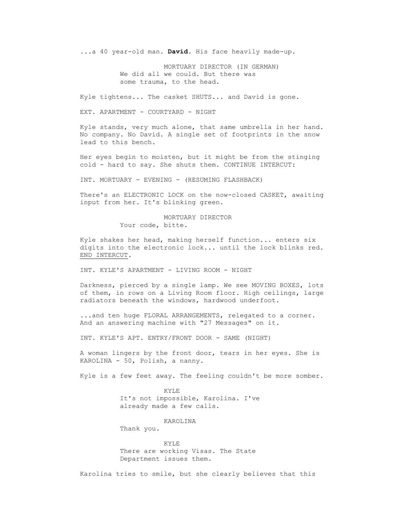...a 40 year-old man. **David**. His face heavily made-up.

 MORTUARY DIRECTOR (IN GERMAN) We did all we could. But there was some trauma, to the head.

Kyle tightens... The casket SHUTS... and David is gone.

EXT. APARTMENT - COURTYARD - NIGHT

 Kyle stands, very much alone, that same umbrella in her hand. No company. No David. A single set of footprints in the snow lead to this bench.

 Her eyes begin to moisten, but it might be from the stinging cold - hard to say. She shuts them. CONTINUE INTERCUT:

INT. MORTUARY - EVENING - (RESUMING FLASHBACK)

 There's an ELECTRONIC LOCK on the now-closed CASKET, awaiting input from her. It's blinking green.

# MORTUARY DIRECTOR

Your code, bitte.

 Kyle shakes her head, making herself function... enters six digits into the electronic lock... until the lock blinks red. END INTERCUT.

INT. KYLE'S APARTMENT - LIVING ROOM - NIGHT

 Darkness, pierced by a single lamp. We see MOVING BOXES, lots of them, in rows on a Living Room floor. High ceilings, large radiators beneath the windows, hardwood underfoot.

 ...and ten huge FLORAL ARRANGEMENTS, relegated to a corner. And an answering machine with "27 Messages" on it.

INT. KYLE'S APT. ENTRY/FRONT DOOR - SAME (NIGHT)

 A woman lingers by the front door, tears in her eyes. She is KAROLINA - 50, Polish, a nanny.

Kyle is a few feet away. The feeling couldn't be more somber.

 KYLE It's not impossible, Karolina. I've already made a few calls.

KAROLINA

Thank you.

 KYLE There are working Visas. The State Department issues them.

Karolina tries to smile, but she clearly believes that this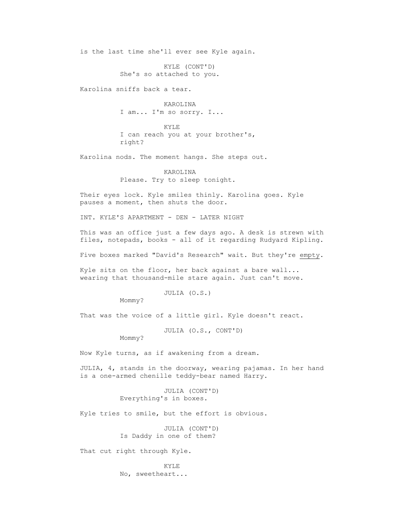is the last time she'll ever see Kyle again.

 KYLE (CONT'D) She's so attached to you.

Karolina sniffs back a tear.

 KAROLINA I am... I'm so sorry. I...

 KYLE I can reach you at your brother's, right?

Karolina nods. The moment hangs. She steps out.

 KAROLINA Please. Try to sleep tonight.

 Their eyes lock. Kyle smiles thinly. Karolina goes. Kyle pauses a moment, then shuts the door.

INT. KYLE'S APARTMENT - DEN - LATER NIGHT

 This was an office just a few days ago. A desk is strewn with files, notepads, books - all of it regarding Rudyard Kipling.

Five boxes marked "David's Research" wait. But they're empty.

 Kyle sits on the floor, her back against a bare wall... wearing that thousand-mile stare again. Just can't move.

JULIA (O.S.)

Mommy?

That was the voice of a little girl. Kyle doesn't react.

JULIA (O.S., CONT'D)

Mommy?

Now Kyle turns, as if awakening from a dream.

 JULIA, 4, stands in the doorway, wearing pajamas. In her hand is a one-armed chenille teddy-bear named Harry.

> JULIA (CONT'D) Everything's in boxes.

Kyle tries to smile, but the effort is obvious.

 JULIA (CONT'D) Is Daddy in one of them?

That cut right through Kyle.

 KYLE No, sweetheart...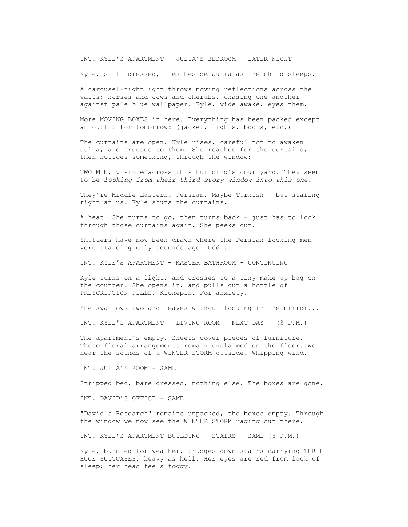INT. KYLE'S APARTMENT - JULIA'S BEDROOM - LATER NIGHT

Kyle, still dressed, lies beside Julia as the child sleeps.

 A carousel-nightlight throws moving reflections across the walls: horses and cows and cherubs, chasing one another against pale blue wallpaper. Kyle, wide awake, eyes them.

 More MOVING BOXES in here. Everything has been packed except an outfit for tomorrow: (jacket, tights, boots, etc.)

 The curtains are open. Kyle rises, careful not to awaken Julia, and crosses to them. She reaches for the curtains, then notices something, through the window:

 TWO MEN, visible across this building's courtyard. They seem to be *looking from their third story window into this one.*

 They're Middle-Eastern. Persian. Maybe Turkish - but staring right at us. Kyle shuts the curtains.

 A beat. She turns to go, then turns back - just has to look through those curtains again. She peeks out.

 Shutters have now been drawn where the Persian-looking men were standing only seconds ago. Odd...

INT. KYLE'S APARTMENT - MASTER BATHROOM - CONTINUING

 Kyle turns on a light, and crosses to a tiny make-up bag on the counter. She opens it, and pulls out a bottle of PRESCRIPTION PILLS. Klonepin. For anxiety.

She swallows two and leaves without looking in the mirror...

INT. KYLE'S APARTMENT - LIVING ROOM - NEXT DAY - (3 P.M.)

The apartment's empty. Sheets cover pieces of furniture. Those floral arrangements remain unclaimed on the floor. We hear the sounds of a WINTER STORM outside. Whipping wind.

INT. JULIA'S ROOM - SAME

Stripped bed, bare dressed, nothing else. The boxes are gone.

INT. DAVID'S OFFICE - SAME

 "David's Research" remains unpacked, the boxes empty. Through the window we now see the WINTER STORM raging out there.

INT. KYLE'S APARTMENT BUILDING - STAIRS - SAME (3 P.M.)

 Kyle, bundled for weather, trudges down stairs carrying THREE HUGE SUITCASES, heavy as hell. Her eyes are red from lack of sleep; her head feels foggy.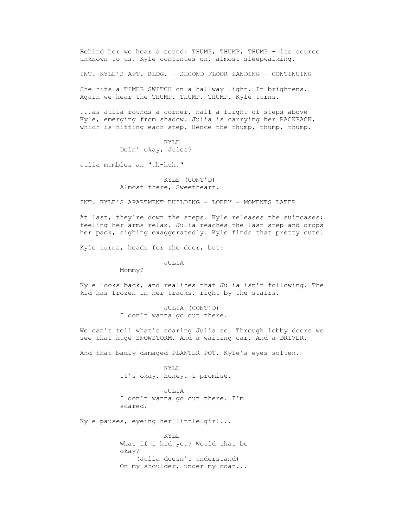Behind her we hear a sound: THUMP, THUMP, THUMP - its source unknown to us. Kyle continues on, almost sleepwalking.

INT. KYLE'S APT. BLDG. - SECOND FLOOR LANDING - CONTINUING

 She hits a TIMER SWITCH on a hallway light. It brightens. Again we hear the THUMP, THUMP, THUMP. Kyle turns.

 ...as Julia rounds a corner, half a flight of steps above Kyle, emerging from shadow. Julia is carrying her BACKPACK, which is hitting each step. Hence the thump, thump, thump.

> KYLE Doin' okay, Jules?

Julia mumbles an "uh-huh."

 KYLE (CONT'D) Almost there, Sweetheart.

INT. KYLE'S APARTMENT BUILDING - LOBBY - MOMENTS LATER

 At last, they're down the steps. Kyle releases the suitcases; feeling her arms relax. Julia reaches the last step and drops her pack, sighing exaggeratedly. Kyle finds that pretty cute.

Kyle turns, heads for the door, but:

JULIA

Mommy?

 Kyle looks back, and realizes that Julia isn't following. The kid has frozen in her tracks, right by the stairs.

> JULIA (CONT'D) I don't wanna go out there.

 We can't tell what's scaring Julia so. Through lobby doors we see that huge SNOWSTORM. And a waiting car. And a DRIVER.

And that badly-damaged PLANTER POT. Kyle's eyes soften.

 KYLE It's okay, Honey. I promise.

> JULIA I don't wanna go out there. I'm scared.

Kyle pauses, eyeing her little girl...

 KYLE What if I hid you? Would that be okay? (Julia doesn't understand) On my shoulder, under my coat...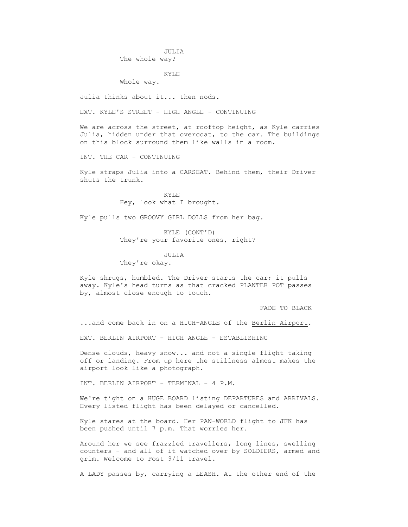JULIA The whole way?

KYLE

Whole way.

Julia thinks about it... then nods.

EXT. KYLE'S STREET - HIGH ANGLE - CONTINUING

We are across the street, at rooftop height, as Kyle carries Julia, hidden under that overcoat, to the car. The buildings on this block surround them like walls in a room.

INT. THE CAR - CONTINUING

 Kyle straps Julia into a CARSEAT. Behind them, their Driver shuts the trunk.

> KYLE Hey, look what I brought.

Kyle pulls two GROOVY GIRL DOLLS from her bag.

 KYLE (CONT'D) They're your favorite ones, right?

 JULIA They're okay.

 Kyle shrugs, humbled. The Driver starts the car; it pulls away. Kyle's head turns as that cracked PLANTER POT passes by, almost close enough to touch.

FADE TO BLACK

...and come back in on a HIGH-ANGLE of the Berlin Airport.

EXT. BERLIN AIRPORT - HIGH ANGLE - ESTABLISHING

 Dense clouds, heavy snow... and not a single flight taking off or landing. From up here the stillness almost makes the airport look like a photograph.

INT. BERLIN AIRPORT - TERMINAL - 4 P.M.

 We're tight on a HUGE BOARD listing DEPARTURES and ARRIVALS. Every listed flight has been delayed or cancelled.

 Kyle stares at the board. Her PAN-WORLD flight to JFK has been pushed until 7 p.m. That worries her.

 Around her we see frazzled travellers, long lines, swelling counters - and all of it watched over by SOLDIERS, armed and grim. Welcome to Post 9/11 travel.

A LADY passes by, carrying a LEASH. At the other end of the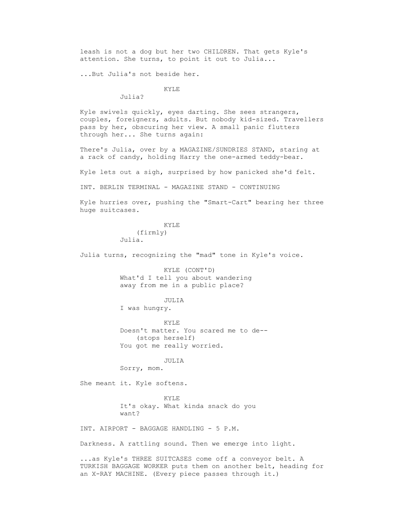leash is not a dog but her two CHILDREN. That gets Kyle's attention. She turns, to point it out to Julia...

...But Julia's not beside her.

KYLE

Julia?

 Kyle swivels quickly, eyes darting. She sees strangers, couples, foreigners, adults. But nobody kid-sized. Travellers pass by her, obscuring her view. A small panic flutters through her... She turns again:

 There's Julia, over by a MAGAZINE/SUNDRIES STAND, staring at a rack of candy, holding Harry the one-armed teddy-bear.

Kyle lets out a sigh, surprised by how panicked she'd felt.

INT. BERLIN TERMINAL - MAGAZINE STAND - CONTINUING

 Kyle hurries over, pushing the "Smart-Cart" bearing her three huge suitcases.

> KYLE (firmly) Julia.

Julia turns, recognizing the "mad" tone in Kyle's voice.

 KYLE (CONT'D) What'd I tell you about wandering away from me in a public place?

JULIA

I was hungry.

**KYLE**  Doesn't matter. You scared me to de-- (stops herself) You got me really worried.

JULIA

Sorry, mom.

She meant it. Kyle softens.

 KYLE It's okay. What kinda snack do you want?

INT. AIRPORT - BAGGAGE HANDLING - 5 P.M.

Darkness. A rattling sound. Then we emerge into light.

 ...as Kyle's THREE SUITCASES come off a conveyor belt. A TURKISH BAGGAGE WORKER puts them on another belt, heading for an X-RAY MACHINE. (Every piece passes through it.)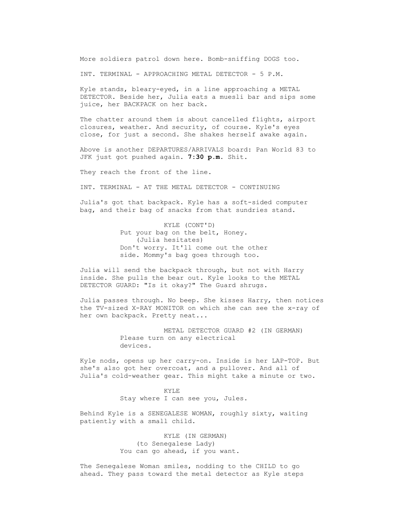More soldiers patrol down here. Bomb-sniffing DOGS too.

INT. TERMINAL - APPROACHING METAL DETECTOR - 5 P.M.

 Kyle stands, bleary-eyed, in a line approaching a METAL DETECTOR. Beside her, Julia eats a muesli bar and sips some juice, her BACKPACK on her back.

 The chatter around them is about cancelled flights, airport closures, weather. And security, of course. Kyle's eyes close, for just a second. She shakes herself awake again.

 Above is another DEPARTURES/ARRIVALS board: Pan World 83 to JFK just got pushed again. **7:30 p.m**. Shit.

They reach the front of the line.

INT. TERMINAL - AT THE METAL DETECTOR - CONTINUING

 Julia's got that backpack. Kyle has a soft-sided computer bag, and their bag of snacks from that sundries stand.

> KYLE (CONT'D) Put your bag on the belt, Honey. (Julia hesitates) Don't worry. It'll come out the other side. Mommy's bag goes through too.

 Julia will send the backpack through, but not with Harry inside. She pulls the bear out. Kyle looks to the METAL DETECTOR GUARD: "Is it okay?" The Guard shrugs.

 Julia passes through. No beep. She kisses Harry, then notices the TV-sized X-RAY MONITOR on which she can see the x-ray of her own backpack. Pretty neat...

> METAL DETECTOR GUARD #2 (IN GERMAN) Please turn on any electrical devices.

 Kyle nods, opens up her carry-on. Inside is her LAP-TOP. But she's also got her overcoat, and a pullover. And all of Julia's cold-weather gear. This might take a minute or two.

> KYLE Stay where I can see you, Jules.

 Behind Kyle is a SENEGALESE WOMAN, roughly sixty, waiting patiently with a small child.

> KYLE (IN GERMAN) (to Senegalese Lady) You can go ahead, if you want.

 The Senegalese Woman smiles, nodding to the CHILD to go ahead. They pass toward the metal detector as Kyle steps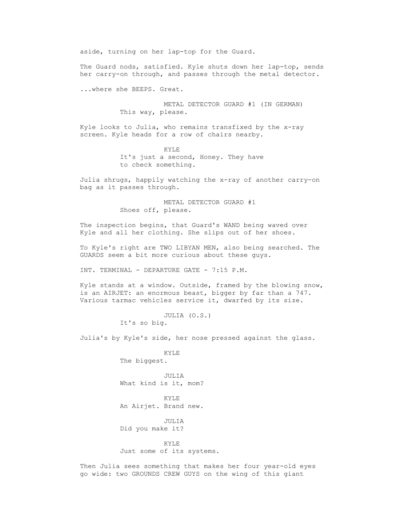aside, turning on her lap-top for the Guard.

 The Guard nods, satisfied. Kyle shuts down her lap-top, sends her carry-on through, and passes through the metal detector.

...where she BEEPS. Great.

 METAL DETECTOR GUARD #1 (IN GERMAN) This way, please.

 Kyle looks to Julia, who remains transfixed by the x-ray screen. Kyle heads for a row of chairs nearby.

> KYLE It's just a second, Honey. They have to check something.

 Julia shrugs, happily watching the x-ray of another carry-on bag as it passes through.

> METAL DETECTOR GUARD #1 Shoes off, please.

 The inspection begins, that Guard's WAND being waved over Kyle and all her clothing. She slips out of her shoes.

 To Kyle's right are TWO LIBYAN MEN, also being searched. The GUARDS seem a bit more curious about these guys.

INT. TERMINAL - DEPARTURE GATE - 7:15 P.M.

 Kyle stands at a window. Outside, framed by the blowing snow, is an AIRJET: an enormous beast, bigger by far than a 747. Various tarmac vehicles service it, dwarfed by its size.

> JULIA (O.S.) It's so big.

Julia's by Kyle's side, her nose pressed against the glass.

**KYLE** The biggest.

> JULIA What kind is it, mom?

> KYLE An Airjet. Brand new.

 JULIA Did you make it?

 KYLE Just some of its systems.

 Then Julia sees something that makes her four year-old eyes go wide: two GROUNDS CREW GUYS on the wing of this giant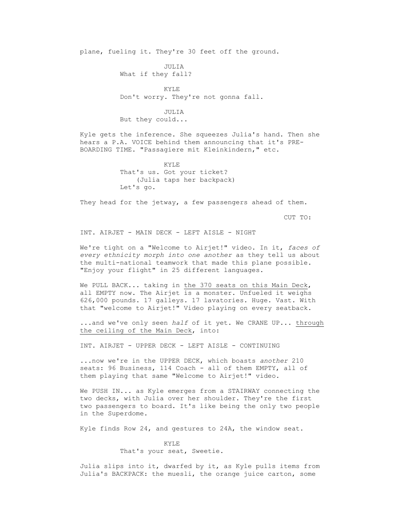plane, fueling it. They're 30 feet off the ground.

 JULIA What if they fall?

 KYLE Don't worry. They're not gonna fall.

> JULIA But they could...

 Kyle gets the inference. She squeezes Julia's hand. Then she hears a P.A. VOICE behind them announcing that it's PRE- BOARDING TIME. "Passagiere mit Kleinkindern," etc.

> KYLE That's us. Got your ticket? (Julia taps her backpack) Let's go.

They head for the jetway, a few passengers ahead of them.

CUT TO:

INT. AIRJET - MAIN DECK - LEFT AISLE - NIGHT

 We're tight on a "Welcome to Airjet!" video. In it, *faces of every ethnicity morph into one another* as they tell us about the multi-national teamwork that made this plane possible. "Enjoy your flight" in 25 different languages.

 We PULL BACK... taking in the 370 seats on this Main Deck, all EMPTY now. The Airjet is a monster. Unfueled it weighs 626,000 pounds. 17 galleys. 17 lavatories. Huge. Vast. With that "welcome to Airjet!" Video playing on every seatback.

 ...and we've only seen *half* of it yet. We CRANE UP... through the ceiling of the Main Deck, into:

INT. AIRJET - UPPER DECK - LEFT AISLE - CONTINUING

 ...now we're in the UPPER DECK, which boasts *another* 210 seats: 96 Business, 114 Coach - all of them EMPTY, all of them playing that same "Welcome to Airjet!" video.

 We PUSH IN... as Kyle emerges from a STAIRWAY connecting the two decks, with Julia over her shoulder. They're the first two passengers to board. It's like being the only two people in the Superdome.

Kyle finds Row 24, and gestures to 24A, the window seat.

 KYLE That's your seat, Sweetie.

 Julia slips into it, dwarfed by it, as Kyle pulls items from Julia's BACKPACK: the muesli, the orange juice carton, some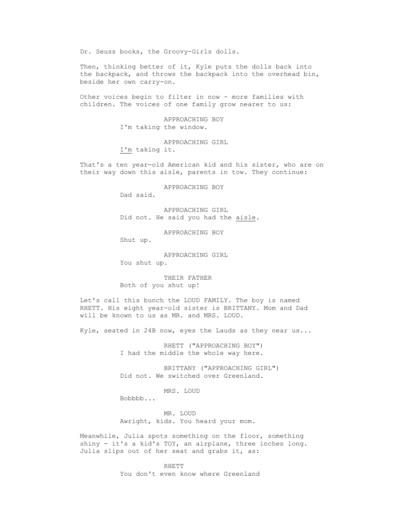Dr. Seuss books, the Groovy-Girls dolls.

 Then, thinking better of it, Kyle puts the dolls back into the backpack, and throws the backpack into the overhead bin, beside her own carry-on.

 Other voices begin to filter in now - more families with children. The voices of one family grow nearer to us:

> APPROACHING BOY I'm taking the window.

 APPROACHING GIRL I'm taking it.

 That's a ten year-old American kid and his sister, who are on their way down this aisle, parents in tow. They continue:

APPROACHING BOY

Dad said.

 APPROACHING GIRL Did not. He said you had the aisle.

APPROACHING BOY

Shut up.

 APPROACHING GIRL You shut up.

 THEIR FATHER Both of you shut up!

 Let's call this bunch the LOUD FAMILY. The boy is named RHETT. His eight year-old sister is BRITTANY. Mom and Dad will be known to us as MR. and MRS. LOUD.

Kyle, seated in 24B now, eyes the Lauds as they near us...

 RHETT ("APPROACHING BOY") I had the middle the whole way here.

 BRITTANY ("APPROACHING GIRL") Did not. We switched over Greenland.

MRS. LOUD

Bobbbb...

 MR. LOUD Awright, kids. You heard your mom.

 Meanwhile, Julia spots something on the floor, something shiny - it's a kid's TOY, an airplane, three inches long. Julia slips out of her seat and grabs it, as:

> RHETT You don't even know where Greenland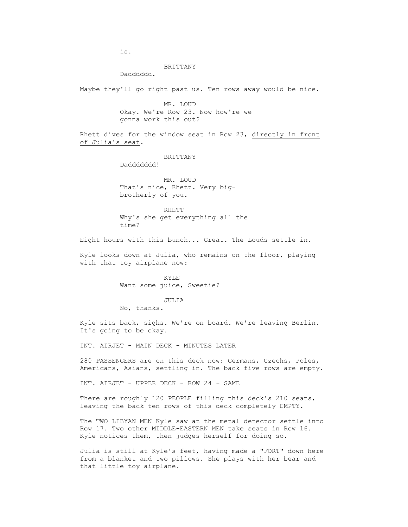is.

## BRITTANY

Dadddddd.

Maybe they'll go right past us. Ten rows away would be nice.

 MR. LOUD Okay. We're Row 23. Now how're we gonna work this out?

 Rhett dives for the window seat in Row 23, directly in front of Julia's seat.

BRITTANY

Daddddddd!

 MR. LOUD That's nice, Rhett. Very bigbrotherly of you.

 RHETT Why's she get everything all the time?

Eight hours with this bunch... Great. The Louds settle in.

 Kyle looks down at Julia, who remains on the floor, playing with that toy airplane now:

> KYLE Want some juice, Sweetie?

### JULIA

No, thanks.

 Kyle sits back, sighs. We're on board. We're leaving Berlin. It's going to be okay.

INT. AIRJET - MAIN DECK - MINUTES LATER

 280 PASSENGERS are on this deck now: Germans, Czechs, Poles, Americans, Asians, settling in. The back five rows are empty.

INT. AIRJET - UPPER DECK - ROW 24 - SAME

 There are roughly 120 PEOPLE filling this deck's 210 seats, leaving the back ten rows of this deck completely EMPTY.

 The TWO LIBYAN MEN Kyle saw at the metal detector settle into Row 17. Two other MIDDLE-EASTERN MEN take seats in Row 16. Kyle notices them, then judges herself for doing so.

 Julia is still at Kyle's feet, having made a "FORT" down here from a blanket and two pillows. She plays with her bear and that little toy airplane.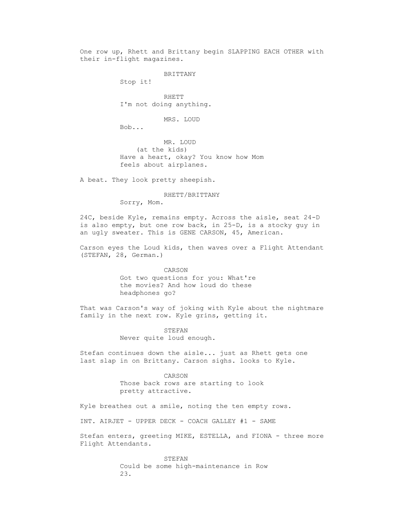One row up, Rhett and Brittany begin SLAPPING EACH OTHER with their in-flight magazines.

BRITTANY

Stop it!

 RHETT I'm not doing anything.

MRS. LOUD

Bob...

 MR. LOUD (at the kids) Have a heart, okay? You know how Mom feels about airplanes.

A beat. They look pretty sheepish.

RHETT/BRITTANY

Sorry, Mom.

 24C, beside Kyle, remains empty. Across the aisle, seat 24-D is also empty, but one row back, in 25-D, is a stocky guy in an ugly sweater. This is GENE CARSON, 45, American.

 Carson eyes the Loud kids, then waves over a Flight Attendant (STEFAN, 28, German.)

> CARSON Got two questions for you: What're the movies? And how loud do these headphones go?

 That was Carson's way of joking with Kyle about the nightmare family in the next row. Kyle grins, getting it.

> STEFAN Never quite loud enough.

 Stefan continues down the aisle... just as Rhett gets one last slap in on Brittany. Carson sighs. looks to Kyle.

> CARSON Those back rows are starting to look pretty attractive.

Kyle breathes out a smile, noting the ten empty rows.

INT. AIRJET - UPPER DECK - COACH GALLEY #1 - SAME

 Stefan enters, greeting MIKE, ESTELLA, and FIONA - three more Flight Attendants.

> STEFAN Could be some high-maintenance in Row 23.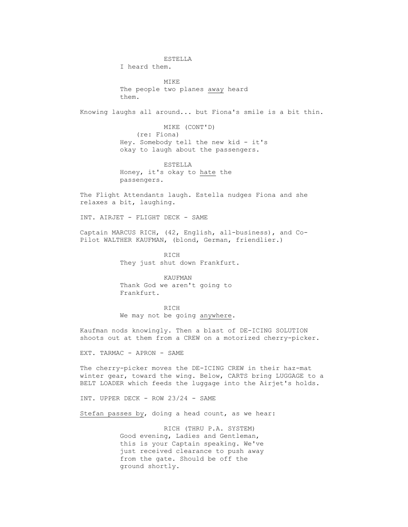ESTELLA I heard them. MIKE The people two planes away heard them. Knowing laughs all around... but Fiona's smile is a bit thin. MIKE (CONT'D) (re: Fiona) Hey. Somebody tell the new kid - it's okay to laugh about the passengers. ESTELLA Honey, it's okay to hate the passengers. The Flight Attendants laugh. Estella nudges Fiona and she relaxes a bit, laughing. INT. AIRJET - FLIGHT DECK - SAME Captain MARCUS RICH, (42, English, all-business), and Co- Pilot WALTHER KAUFMAN, (blond, German, friendlier.) **RICH**  They just shut down Frankfurt. KAUFMAN Thank God we aren't going to Frankfurt. RICH We may not be going anywhere.

> Kaufman nods knowingly. Then a blast of DE-ICING SOLUTION shoots out at them from a CREW on a motorized cherry-picker.

EXT. TARMAC - APRON - SAME

 The cherry-picker moves the DE-ICING CREW in their haz-mat winter gear, toward the wing. Below, CARTS bring LUGGAGE to a BELT LOADER which feeds the luggage into the Airjet's holds.

INT. UPPER DECK - ROW 23/24 - SAME

Stefan passes by, doing a head count, as we hear:

 RICH (THRU P.A. SYSTEM) Good evening, Ladies and Gentleman, this is your Captain speaking. We've just received clearance to push away from the gate. Should be off the ground shortly.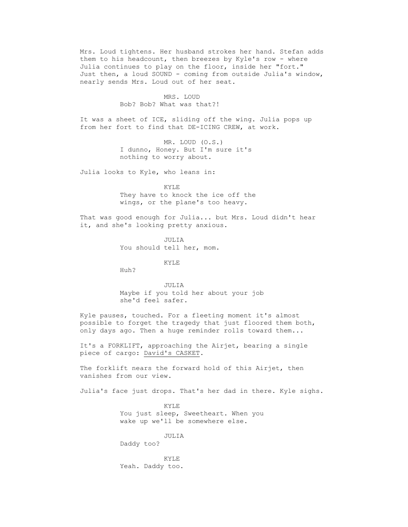Mrs. Loud tightens. Her husband strokes her hand. Stefan adds them to his headcount, then breezes by Kyle's row - where Julia continues to play on the floor, inside her "fort." Just then, a loud SOUND - coming from outside Julia's window, nearly sends Mrs. Loud out of her seat.

> MRS. LOUD Bob? Bob? What was that?!

 It was a sheet of ICE, sliding off the wing. Julia pops up from her fort to find that DE-ICING CREW, at work.

> MR. LOUD (O.S.) I dunno, Honey. But I'm sure it's nothing to worry about.

Julia looks to Kyle, who leans in:

 KYLE They have to knock the ice off the wings, or the plane's too heavy.

 That was good enough for Julia... but Mrs. Loud didn't hear it, and she's looking pretty anxious.

> JULIA You should tell her, mom.

> > KYLE

Huh?

 JULIA Maybe if you told her about your job she'd feel safer.

 Kyle pauses, touched. For a fleeting moment it's almost possible to forget the tragedy that just floored them both, only days ago. Then a huge reminder rolls toward them...

 It's a FORKLIFT, approaching the Airjet, bearing a single piece of cargo: David's CASKET.

The forklift nears the forward hold of this Airjet, then vanishes from our view.

Julia's face just drops. That's her dad in there. Kyle sighs.

 KYLE You just sleep, Sweetheart. When you wake up we'll be somewhere else.

 JULIA Daddy too?

 KYLE Yeah. Daddy too.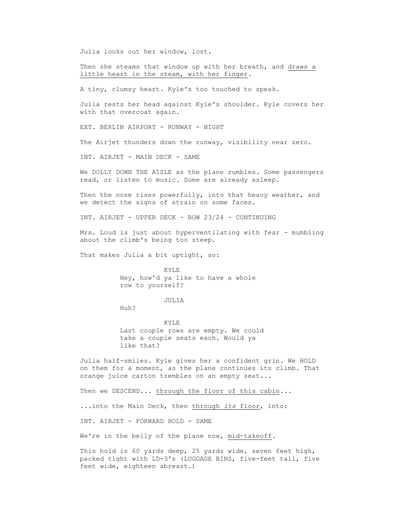Julia looks out her window, lost.

 Then she steams that window up with her breath, and draws a little heart in the steam, with her finger.

A tiny, clumsy heart. Kyle's too touched to speak.

 Julia rests her head against Kyle's shoulder. Kyle covers her with that overcoat again.

EXT. BERLIN AIRPORT - RUNWAY - NIGHT

The Airjet thunders down the runway, visibility near zero.

INT. AIRJET - MAIN DECK - SAME

 We DOLLY DOWN THE AISLE as the plane rumbles. Some passengers read, or listen to music. Some are already asleep.

Then the nose rises powerfully, into that heavy weather, and we detect the signs of strain on some faces.

INT. AIRJET - UPPER DECK - ROW 23/24 - CONTINUING

 Mrs. Loud is just about hyperventilating with fear - mumbling about the climb's being too steep.

That makes Julia a bit uptight, so:

 KYLE Hey, how'd ya like to have a whole row to yourself?

## JULIA

Huh?

 KYLE Last couple rows are empty. We could take a couple seats each. Would ya like that?

 Julia half-smiles. Kyle gives her a confident grin. We HOLD on them for a moment, as the plane continues its climb. That orange juice carton trembles on an empty seat...

Then we DESCEND... through the floor of this cabin...

...into the Main Deck, then through *its* floor, into:

INT. AIRJET - FORWARD HOLD - SAME

We're in the belly of the plane now, mid-takeoff.

 This hold is 60 yards deep, 25 yards wide, seven feet high, packed tight with LD-3's (LUGGAGE BINS, five-feet tall, five feet wide, eighteen abreast.)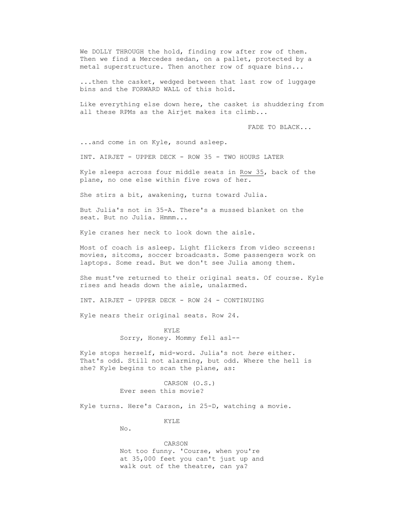We DOLLY THROUGH the hold, finding row after row of them. Then we find a Mercedes sedan, on a pallet, protected by a metal superstructure. Then another row of square bins...

 ...then the casket, wedged between that last row of luggage bins and the FORWARD WALL of this hold.

 Like everything else down here, the casket is shuddering from all these RPMs as the Airjet makes its climb...

FADE TO BLACK...

...and come in on Kyle, sound asleep.

INT. AIRJET - UPPER DECK - ROW 35 - TWO HOURS LATER

 Kyle sleeps across four middle seats in Row 35, back of the plane, no one else within five rows of her.

She stirs a bit, awakening, turns toward Julia.

 But Julia's not in 35-A. There's a mussed blanket on the seat. But no Julia. Hmmm...

Kyle cranes her neck to look down the aisle.

 Most of coach is asleep. Light flickers from video screens: movies, sitcoms, soccer broadcasts. Some passengers work on laptops. Some read. But we don't see Julia among them.

 She must've returned to their original seats. Of course. Kyle rises and heads down the aisle, unalarmed.

INT. AIRJET - UPPER DECK - ROW 24 - CONTINUING

Kyle nears their original seats. Row 24.

 KYLE Sorry, Honey. Mommy fell asl--

 Kyle stops herself, mid-word. Julia's not *here* either. That's odd. Still not alarming, but odd. Where the hell is she? Kyle begins to scan the plane, as:

> CARSON (O.S.) Ever seen this movie?

Kyle turns. Here's Carson, in 25-D, watching a movie.

KYLE

No.

 CARSON Not too funny. 'Course, when you're at 35,000 feet you can't just up and walk out of the theatre, can ya?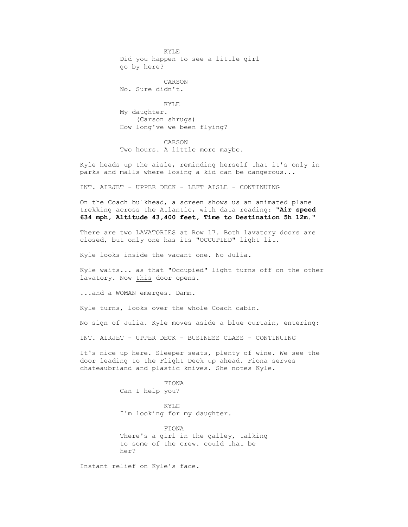KYLE Did you happen to see a little girl go by here?

 CARSON No. Sure didn't.

**KYLE**  My daughter. (Carson shrugs) How long've we been flying?

> CARSON Two hours. A little more maybe.

 Kyle heads up the aisle, reminding herself that it's only in parks and malls where losing a kid can be dangerous...

INT. AIRJET - UPPER DECK - LEFT AISLE - CONTINUING

 On the Coach bulkhead, a screen shows us an animated plane trekking across the Atlantic, with data reading: **"Air speed 634 mph, Altitude 43,400 feet, Time to Destination 5h 12m."**

 There are two LAVATORIES at Row 17. Both lavatory doors are closed, but only one has its "OCCUPIED" light lit.

Kyle looks inside the vacant one. No Julia.

 Kyle waits... as that "Occupied" light turns off on the other lavatory. Now this door opens.

...and a WOMAN emerges. Damn.

Kyle turns, looks over the whole Coach cabin.

No sign of Julia. Kyle moves aside a blue curtain, entering:

INT. AIRJET - UPPER DECK - BUSINESS CLASS - CONTINUING

 It's nice up here. Sleeper seats, plenty of wine. We see the door leading to the Flight Deck up ahead. Fiona serves chateaubriand and plastic knives. She notes Kyle.

> FIONA Can I help you?

 KYLE I'm looking for my daughter.

 FIONA There's a girl in the galley, talking to some of the crew. could that be her?

Instant relief on Kyle's face.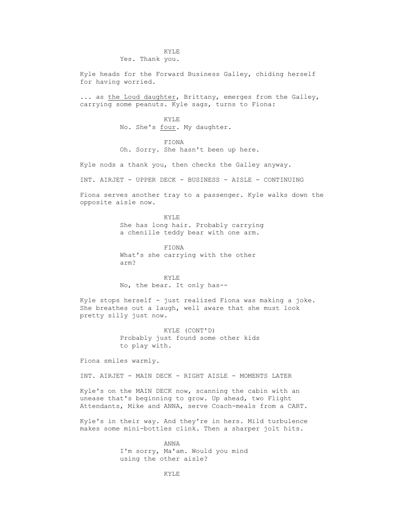## KYLE Yes. Thank you.

 Kyle heads for the Forward Business Galley, chiding herself for having worried.

 ... as the Loud daughter, Brittany, emerges from the Galley, carrying some peanuts. Kyle sags, turns to Fiona:

 KYLE No. She's four. My daughter.

> FIONA Oh. Sorry. She hasn't been up here.

Kyle nods a thank you, then checks the Galley anyway.

INT. AIRJET - UPPER DECK - BUSINESS - AISLE - CONTINUING

 Fiona serves another tray to a passenger. Kyle walks down the opposite aisle now.

**KYLE**  She has long hair. Probably carrying a chenille teddy bear with one arm.

> FIONA What's she carrying with the other arm?

 KYLE No, the bear. It only has--

 Kyle stops herself - just realized Fiona was making a joke. She breathes out a laugh, well aware that she must look pretty silly just now.

> KYLE (CONT'D) Probably just found some other kids to play with.

Fiona smiles warmly.

INT. AIRJET - MAIN DECK - RIGHT AISLE - MOMENTS LATER

 Kyle's on the MAIN DECK now, scanning the cabin with an unease that's beginning to grow. Up ahead, two Flight Attendants, Mike and ANNA, serve Coach-meals from a CART.

 Kyle's in their way. And they're in hers. Mild turbulence makes some mini-bottles clink. Then a sharper jolt hits.

> ANNA I'm sorry, Ma'am. Would you mind using the other aisle?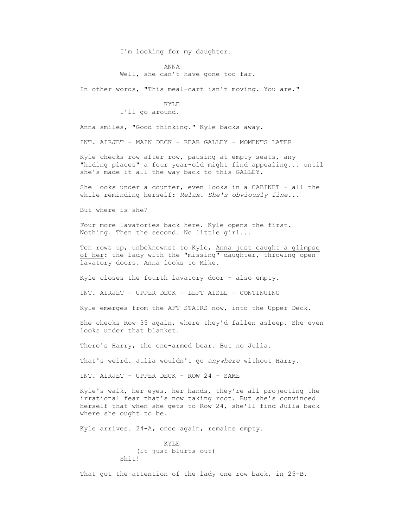I'm looking for my daughter.

 ANNA Well, she can't have gone too far.

In other words, "This meal-cart isn't moving. You are."

### **KYLE** I'll go around.

Anna smiles, "Good thinking." Kyle backs away.

INT. AIRJET - MAIN DECK - REAR GALLEY - MOMENTS LATER

 Kyle checks row after row, pausing at empty seats, any "hiding places" a four year-old might find appealing... until she's made it all the way back to this GALLEY.

 She looks under a counter, even looks in a CABINET - all the while reminding herself: *Relax. She's obviously fine...*

But where is she?

 Four more lavatories back here. Kyle opens the first. Nothing. Then the second. No little girl...

 Ten rows up, unbeknownst to Kyle, Anna just caught a glimpse of her: the lady with the "missing" daughter, throwing open lavatory doors. Anna looks to Mike.

Kyle closes the fourth lavatory door - also empty.

INT. AIRJET - UPPER DECK - LEFT AISLE - CONTINUING

Kyle emerges from the AFT STAIRS now, into the Upper Deck.

 She checks Row 35 again, where they'd fallen asleep. She even looks under that blanket.

There's Harry, the one-armed bear. But no Julia.

That's weird. Julia wouldn't go *anywhere* without Harry.

INT. AIRJET - UPPER DECK - ROW 24 - SAME

 Kyle's walk, her eyes, her hands, they're all projecting the irrational fear that's now taking root. But she's convinced herself that when she gets to Row 24, she'll find Julia back where she ought to be.

Kyle arrives. 24-A, once again, remains empty.

```
 KYLE
   (it just blurts out)
Shit!
```
That got the attention of the lady one row back, in 25-B.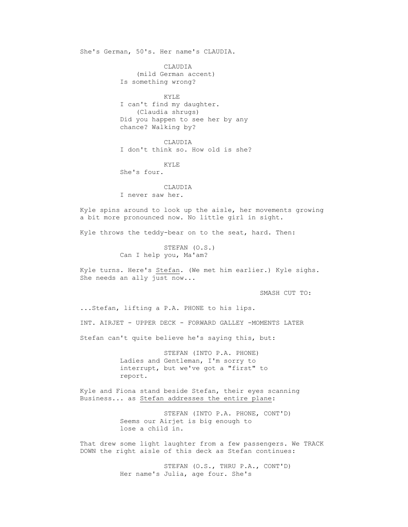She's German, 50's. Her name's CLAUDIA.

 CLAUDIA (mild German accent) Is something wrong?

 KYLE I can't find my daughter. (Claudia shrugs) Did you happen to see her by any chance? Walking by?

 CLAUDIA I don't think so. How old is she?

 KYLE She's four.

 CLAUDIA I never saw her.

 Kyle spins around to look up the aisle, her movements growing a bit more pronounced now. No little girl in sight.

Kyle throws the teddy-bear on to the seat, hard. Then:

 STEFAN (O.S.) Can I help you, Ma'am?

 Kyle turns. Here's Stefan. (We met him earlier.) Kyle sighs. She needs an ally just now...

SMASH CUT TO:

 ...Stefan, lifting a P.A. PHONE to his lips. INT. AIRJET - UPPER DECK - FORWARD GALLEY -MOMENTS LATER Stefan can't quite believe he's saying this, but:

> STEFAN (INTO P.A. PHONE) Ladies and Gentleman, I'm sorry to interrupt, but we've got a "first" to report.

 Kyle and Fiona stand beside Stefan, their eyes scanning Business... as Stefan addresses the entire plane:

> STEFAN (INTO P.A. PHONE, CONT'D) Seems our Airjet is big enough to lose a child in.

 That drew some light laughter from a few passengers. We TRACK DOWN the right aisle of this deck as Stefan continues:

> STEFAN (O.S., THRU P.A., CONT'D) Her name's Julia, age four. She's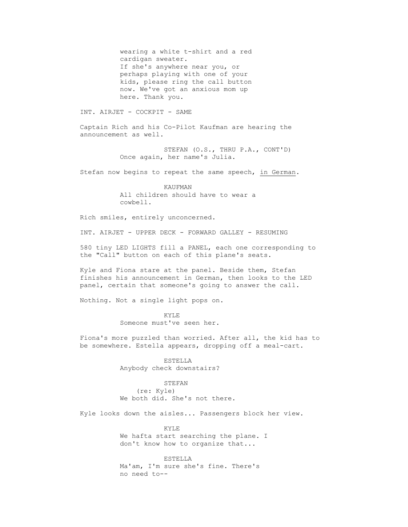wearing a white t-shirt and a red cardigan sweater. If she's anywhere near you, or perhaps playing with one of your kids, please ring the call button now. We've got an anxious mom up here. Thank you.

INT. AIRJET - COCKPIT - SAME

 Captain Rich and his Co-Pilot Kaufman are hearing the announcement as well.

> STEFAN (O.S., THRU P.A., CONT'D) Once again, her name's Julia.

Stefan now begins to repeat the same speech, in German.

 KAUFMAN All children should have to wear a cowbell.

Rich smiles, entirely unconcerned.

INT. AIRJET - UPPER DECK - FORWARD GALLEY - RESUMING

 580 tiny LED LIGHTS fill a PANEL, each one corresponding to the "Call" button on each of this plane's seats.

 Kyle and Fiona stare at the panel. Beside them, Stefan finishes his announcement in German, then looks to the LED panel, certain that someone's going to answer the call.

Nothing. Not a single light pops on.

**KYLE** Someone must've seen her.

> Fiona's more puzzled than worried. After all, the kid has to be somewhere. Estella appears, dropping off a meal-cart.

> > ESTELLA Anybody check downstairs?

 STEFAN (re: Kyle) We both did. She's not there.

Kyle looks down the aisles... Passengers block her view.

 KYLE We hafta start searching the plane. I don't know how to organize that...

 ESTELLA Ma'am, I'm sure she's fine. There's no need to--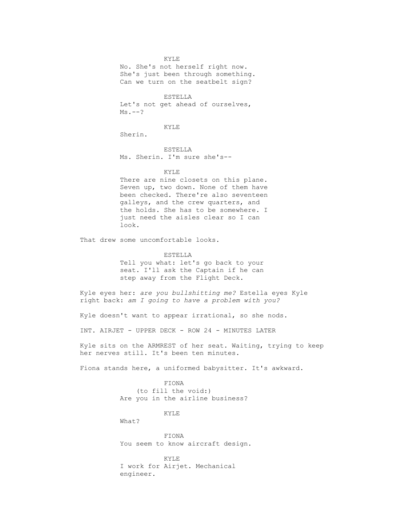KYLE No. She's not herself right now. She's just been through something. Can we turn on the seatbelt sign?

 ESTELLA Let's not get ahead of ourselves,  $Ms. --?$ 

KYLE

Sherin.

 ESTELLA Ms. Sherin. I'm sure she's--

KYLE

There are nine closets on this plane. Seven up, two down. None of them have been checked. There're also seventeen galleys, and the crew quarters, and the holds. She has to be somewhere. I just need the aisles clear so I can look.

That drew some uncomfortable looks.

 ESTELLA Tell you what: let's go back to your seat. I'll ask the Captain if he can step away from the Flight Deck.

 Kyle eyes her: *are you bullshitting me?* Estella eyes Kyle right back: *am I going to have a problem with you?*

Kyle doesn't want to appear irrational, so she nods.

INT. AIRJET - UPPER DECK - ROW 24 - MINUTES LATER

 Kyle sits on the ARMREST of her seat. Waiting, trying to keep her nerves still. It's been ten minutes.

Fiona stands here, a uniformed babysitter. It's awkward.

 FIONA (to fill the void:) Are you in the airline business?

KYLE

What?

 FIONA You seem to know aircraft design.

 KYLE I work for Airjet. Mechanical engineer.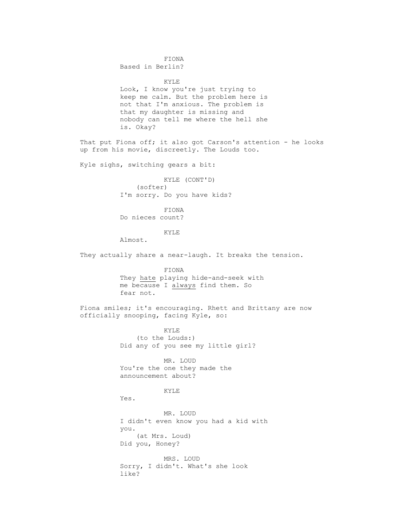FIONA

Based in Berlin?

 KYLE Look, I know you're just trying to keep me calm. But the problem here is not that I'm anxious. The problem is that my daughter is missing and nobody can tell me where the hell she is. Okay?

That put Fiona off; it also got Carson's attention - he looks up from his movie, discreetly. The Louds too.

Kyle sighs, switching gears a bit:

 KYLE (CONT'D) (softer) I'm sorry. Do you have kids?

 FIONA Do nieces count?

KYLE

Almost.

They actually share a near-laugh. It breaks the tension.

 FIONA They hate playing hide-and-seek with me because I always find them. So fear not.

 Fiona smiles; it's encouraging. Rhett and Brittany are now officially snooping, facing Kyle, so:

> KYLE (to the Louds:) Did any of you see my little girl?

 MR. LOUD You're the one they made the announcement about?

KYLE

Yes.

 MR. LOUD I didn't even know you had a kid with you. (at Mrs. Loud) Did you, Honey?

 MRS. LOUD Sorry, I didn't. What's she look like?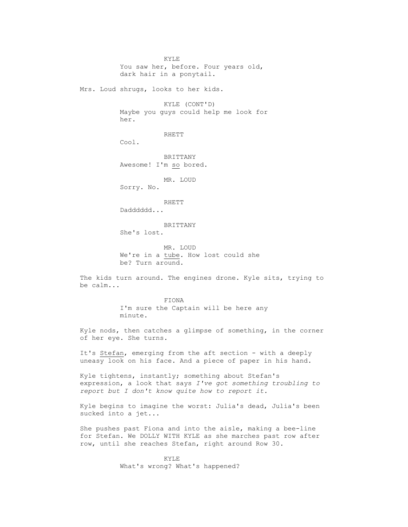KYLE You saw her, before. Four years old, dark hair in a ponytail. Mrs. Loud shrugs, looks to her kids. KYLE (CONT'D) Maybe you guys could help me look for her. RHETT Cool. BRITTANY Awesome! I'm so bored. MR. LOUD Sorry. No. RHETT Daddddd... BRITTANY She's lost. MR. LOUD We're in a tube. How lost could she be? Turn around. The kids turn around. The engines drone. Kyle sits, trying to be calm... FIONA I'm sure the Captain will be here any minute. Kyle nods, then catches a glimpse of something, in the corner of her eye. She turns. It's Stefan, emerging from the aft section - with a deeply uneasy look on his face. And a piece of paper in his hand. Kyle tightens, instantly; something about Stefan's expression, a look that says *I've got something troubling to report but I don't know quite how to report it.* Kyle begins to imagine the worst: Julia's dead, Julia's been sucked into a jet... She pushes past Fiona and into the aisle, making a bee-line for Stefan. We DOLLY WITH KYLE as she marches past row after row, until she reaches Stefan, right around Row 30.

> KYLE What's wrong? What's happened?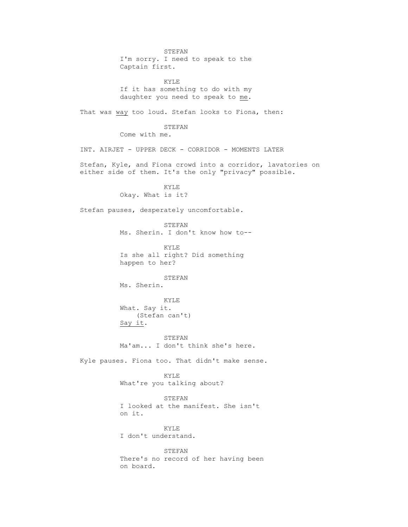STEFAN I'm sorry. I need to speak to the Captain first. KYLE If it has something to do with my daughter you need to speak to me. That was way too loud. Stefan looks to Fiona, then: STEFAN Come with me. INT. AIRJET - UPPER DECK - CORRIDOR - MOMENTS LATER Stefan, Kyle, and Fiona crowd into a corridor, lavatories on either side of them. It's the only "privacy" possible. KYLE Okay. What is it? Stefan pauses, desperately uncomfortable. STEFAN Ms. Sherin. I don't know how to-- KYLE Is she all right? Did something happen to her? STEFAN Ms. Sherin. KYLE What. Say it. (Stefan can't) Say it. STEFAN Ma'am... I don't think she's here. Kyle pauses. Fiona too. That didn't make sense. KYLE What're you talking about? STEFAN I looked at the manifest. She isn't on it. KYLE I don't understand. STEFAN There's no record of her having been on board.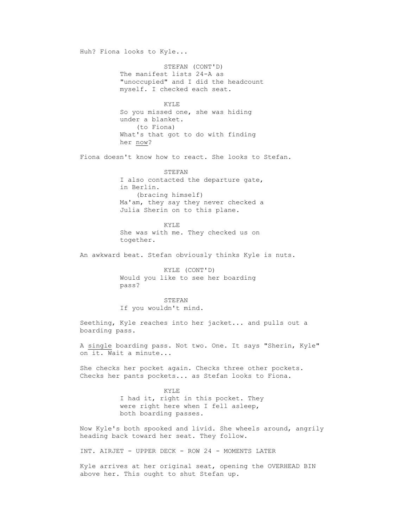Huh? Fiona looks to Kyle... STEFAN (CONT'D) The manifest lists 24-A as "unoccupied" and I did the headcount myself. I checked each seat. **KYLE**  So you missed one, she was hiding under a blanket. (to Fiona) What's that got to do with finding her now? Fiona doesn't know how to react. She looks to Stefan. STEFAN I also contacted the departure gate, in Berlin. (bracing himself) Ma'am, they say they never checked a Julia Sherin on to this plane. KYLE She was with me. They checked us on together. An awkward beat. Stefan obviously thinks Kyle is nuts. KYLE (CONT'D) Would you like to see her boarding pass? STEFAN If you wouldn't mind. Seething, Kyle reaches into her jacket... and pulls out a boarding pass. A single boarding pass. Not two. One. It says "Sherin, Kyle" on it. Wait a minute... She checks her pocket again. Checks three other pockets. Checks her pants pockets... as Stefan looks to Fiona. KYLE I had it, right in this pocket. They were right here when I fell asleep, both boarding passes. Now Kyle's both spooked and livid. She wheels around, angrily heading back toward her seat. They follow. INT. AIRJET - UPPER DECK - ROW 24 - MOMENTS LATER Kyle arrives at her original seat, opening the OVERHEAD BIN above her. This ought to shut Stefan up.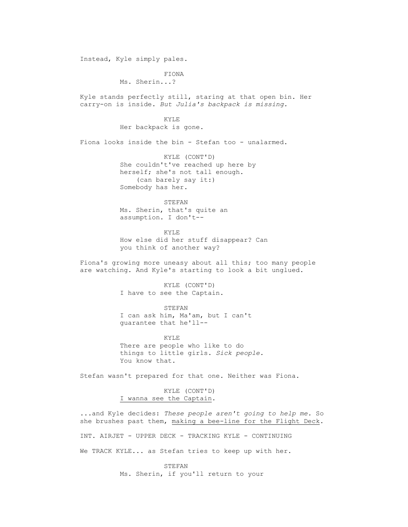Instead, Kyle simply pales. FIONA Ms. Sherin...? Kyle stands perfectly still, staring at that open bin. Her carry-on is inside. *But Julia's backpack is missing.* KYLE Her backpack is gone. Fiona looks inside the bin - Stefan too - unalarmed. KYLE (CONT'D) She couldn't've reached up here by herself; she's not tall enough. (can barely say it:) Somebody has her. STEFAN Ms. Sherin, that's quite an assumption. I don't-- KYLE How else did her stuff disappear? Can you think of another way? Fiona's growing more uneasy about all this; too many people are watching. And Kyle's starting to look a bit unglued. KYLE (CONT'D) I have to see the Captain. STEFAN I can ask him, Ma'am, but I can't guarantee that he'll-- KYLE There are people who like to do things to little girls. *Sick people.* You know that. Stefan wasn't prepared for that one. Neither was Fiona. KYLE (CONT'D) I wanna see the Captain. ...and Kyle decides: *These people aren't going to help me.* So she brushes past them, making a bee-line for the Flight Deck. INT. AIRJET - UPPER DECK - TRACKING KYLE - CONTINUING We TRACK KYLE... as Stefan tries to keep up with her.

> STEFAN Ms. Sherin, if you'll return to your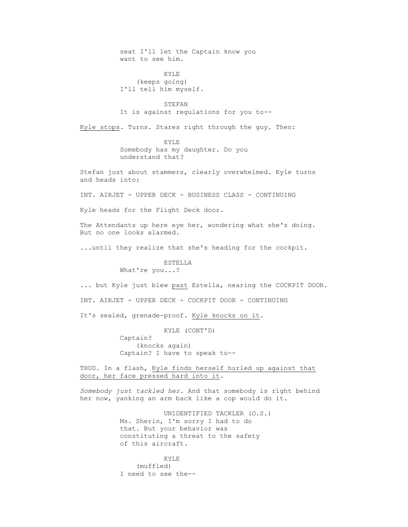seat I'll let the Captain know you want to see him.

 KYLE (keeps going) I'll tell him myself.

**STEFAN** It is against regulations for you to--

Kyle stops. Turns. Stares right through the guy. Then:

 KYLE Somebody has my daughter. Do you understand that?

 Stefan just about stammers, clearly overwhelmed. Kyle turns and heads into:

INT. AIRJET - UPPER DECK - BUSINESS CLASS - CONTINUING

Kyle heads for the Flight Deck door.

 The Attendants up here eye her, wondering what she's doing. But no one looks alarmed.

...until they realize that she's heading for the cockpit.

 ESTELLA What're you...?

... but Kyle just blew past Estella, nearing the COCKPIT DOOR.

INT. AIRJET - UPPER DECK - COCKPIT DOOR - CONTINUING

It's sealed, grenade-proof. Kyle knocks on it.

KYLE (CONT'D)

 Captain? (knocks again) Captain? I have to speak to--

 THUD. In a flash, Kyle finds herself hurled up against that door, her face pressed hard into it.

 *Somebody just tackled her.* And that somebody is right behind her now, yanking an arm back like a cop would do it.

> UNIDENTIFIED TACKLER (O.S.) Ms. Sherin, I'm sorry I had to do that. But your behavior was constituting a threat to the safety of this aircraft.

 KYLE (muffled) I need to see the--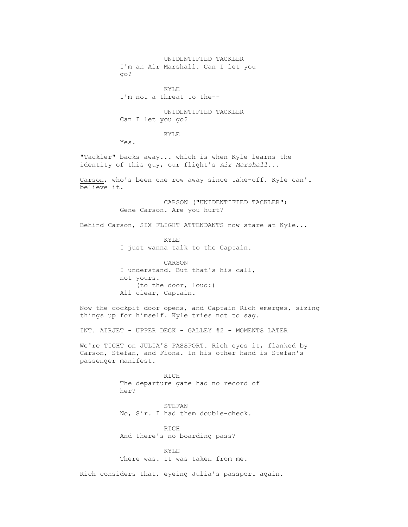UNIDENTIFIED TACKLER I'm an Air Marshall. Can I let you go? KYLE I'm not a threat to the-- UNIDENTIFIED TACKLER Can I let you go? KYLE Yes. "Tackler" backs away... which is when Kyle learns the identity of this guy, our flight's *Air Marshall*... Carson, who's been one row away since take-off. Kyle can't believe it. CARSON ("UNIDENTIFIED TACKLER") Gene Carson. Are you hurt? Behind Carson, SIX FLIGHT ATTENDANTS now stare at Kyle... KYLE I just wanna talk to the Captain. CARSON I understand. But that's his call, not yours. (to the door, loud:) All clear, Captain. Now the cockpit door opens, and Captain Rich emerges, sizing things up for himself. Kyle tries not to sag. INT. AIRJET - UPPER DECK - GALLEY #2 - MOMENTS LATER We're TIGHT on JULIA'S PASSPORT. Rich eyes it, flanked by Carson, Stefan, and Fiona. In his other hand is Stefan's passenger manifest. **RICH**  The departure gate had no record of her? STEFAN No, Sir. I had them double-check. RICH And there's no boarding pass? KYLE

There was. It was taken from me.

Rich considers that, eyeing Julia's passport again.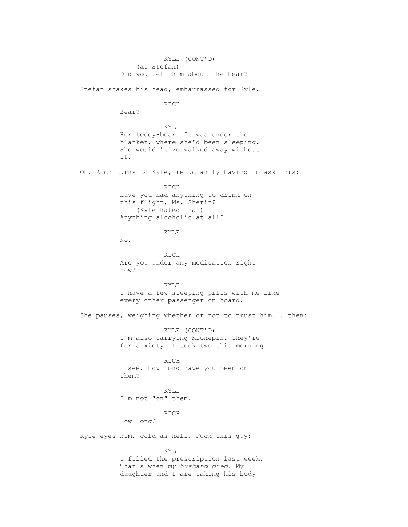KYLE (CONT'D) (at Stefan) Did you tell him about the bear? Stefan shakes his head, embarrassed for Kyle. RICH Bear? KYLE Her teddy-bear. It was under the blanket, where she'd been sleeping. She wouldn't've walked away without it. Oh. Rich turns to Kyle, reluctantly having to ask this: RICH Have you had anything to drink on this flight, Ms. Sherin? (Kyle hated that) Anything alcoholic at all? KYLE No. RICH Are you under any medication right now? KYLE I have a few sleeping pills with me like every other passenger on board. She pauses, weighing whether or not to trust him... then: KYLE (CONT'D) I'm also carrying Klonepin. They're for anxiety. I took two this morning. RICH I see. How long have you been on them? KYLE I'm not "on" them. RICH How long? Kyle eyes him, cold as hell. Fuck this guy: KYLE I filled the prescription last week. That's when *my husband died.* My daughter and I are taking his body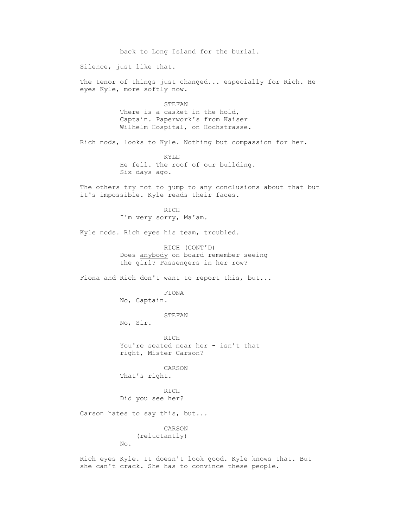back to Long Island for the burial. Silence, just like that. The tenor of things just changed... especially for Rich. He eyes Kyle, more softly now. STEFAN There is a casket in the hold, Captain. Paperwork's from Kaiser Wilhelm Hospital, on Hochstrasse. Rich nods, looks to Kyle. Nothing but compassion for her. KYLE He fell. The roof of our building. Six days ago. The others try not to jump to any conclusions about that but it's impossible. Kyle reads their faces. RICH I'm very sorry, Ma'am. Kyle nods. Rich eyes his team, troubled. RICH (CONT'D) Does anybody on board remember seeing the girl? Passengers in her row? Fiona and Rich don't want to report this, but... FIONA No, Captain. STEFAN No, Sir. RICH You're seated near her - isn't that right, Mister Carson? CARSON That's right. RICH Did you see her? Carson hates to say this, but... CARSON (reluctantly) No. Rich eyes Kyle. It doesn't look good. Kyle knows that. But she can't crack. She has to convince these people.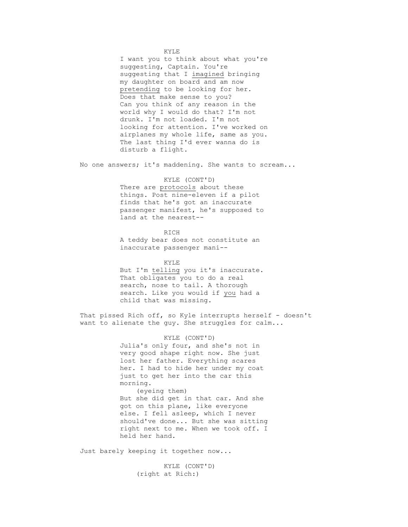KYLE

 I want you to think about what you're suggesting, Captain. You're suggesting that I imagined bringing my daughter on board and am now pretending to be looking for her. Does that make sense to you? Can you think of any reason in the world why I would do that? I'm not drunk. I'm not loaded. I'm not looking for attention. I've worked on airplanes my whole life, same as you. The last thing I'd ever wanna do is disturb a flight.

No one answers; it's maddening. She wants to scream...

## KYLE (CONT'D)

 There are protocols about these things. Post nine-eleven if a pilot finds that he's got an inaccurate passenger manifest, he's supposed to land at the nearest--

**RICH**  A teddy bear does not constitute an inaccurate passenger mani--

> KYLE But I'm telling you it's inaccurate. That obligates you to do a real search, nose to tail. A thorough search. Like you would if you had a child that was missing.

That pissed Rich off, so Kyle interrupts herself - doesn't want to alienate the guy. She struggles for calm...

> KYLE (CONT'D) Julia's only four, and she's not in very good shape right now. She just lost her father. Everything scares her. I had to hide her under my coat just to get her into the car this morning. (eyeing them) But she did get in that car. And she got on this plane, like everyone else. I fell asleep, which I never should've done... But she was sitting right next to me. When we took off. I held her hand.

Just barely keeping it together now...

 KYLE (CONT'D) (right at Rich:)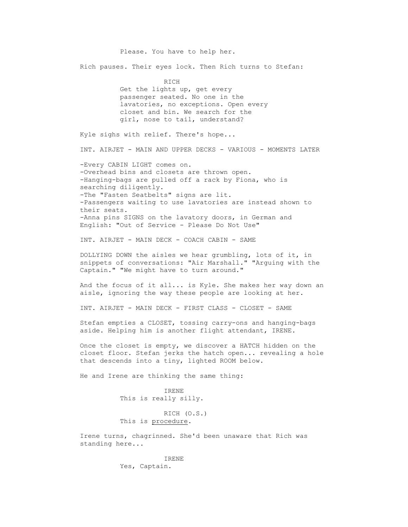Please. You have to help her. Rich pauses. Their eyes lock. Then Rich turns to Stefan: RICH Get the lights up, get every passenger seated. No one in the lavatories, no exceptions. Open every closet and bin. We search for the girl, nose to tail, understand? Kyle sighs with relief. There's hope... INT. AIRJET - MAIN AND UPPER DECKS - VARIOUS - MOMENTS LATER -Every CABIN LIGHT comes on. -Overhead bins and closets are thrown open. -Hanging-bags are pulled off a rack by Fiona, who is searching diligently. -The "Fasten Seatbelts" signs are lit. -Passengers waiting to use lavatories are instead shown to their seats. -Anna pins SIGNS on the lavatory doors, in German and English: "Out of Service - Please Do Not Use" INT. AIRJET - MAIN DECK - COACH CABIN - SAME DOLLYING DOWN the aisles we hear grumbling, lots of it, in snippets of conversations: "Air Marshall." "Arguing with the Captain." "We might have to turn around." And the focus of it all... is Kyle. She makes her way down an aisle, ignoring the way these people are looking at her. INT. AIRJET - MAIN DECK - FIRST CLASS - CLOSET - SAME Stefan empties a CLOSET, tossing carry-ons and hanging-bags aside. Helping him is another flight attendant, IRENE. Once the closet is empty, we discover a HATCH hidden on the closet floor. Stefan jerks the hatch open... revealing a hole that descends into a tiny, lighted ROOM below. He and Irene are thinking the same thing: IRENE This is really silly. RICH (O.S.) This is procedure. Irene turns, chagrinned. She'd been unaware that Rich was standing here... IRENE Yes, Captain.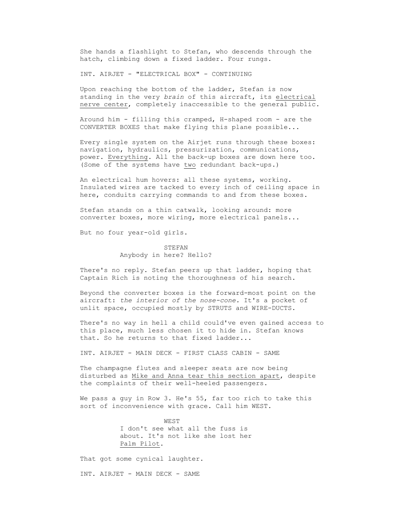She hands a flashlight to Stefan, who descends through the hatch, climbing down a fixed ladder. Four rungs.

INT. AIRJET - "ELECTRICAL BOX" - CONTINUING

 Upon reaching the bottom of the ladder, Stefan is now standing in the very *brain* of this aircraft, its electrical nerve center, completely inaccessible to the general public.

 Around him - filling this cramped, H-shaped room - are the CONVERTER BOXES that make flying this plane possible...

 Every single system on the Airjet runs through these boxes: navigation, hydraulics, pressurization, communications, power. Everything. All the back-up boxes are down here too. (Some of the systems have two redundant back-ups.)

 An electrical hum hovers: all these systems, working. Insulated wires are tacked to every inch of ceiling space in here, conduits carrying commands to and from these boxes.

 Stefan stands on a thin catwalk, looking around: more converter boxes, more wiring, more electrical panels...

But no four year-old girls.

 STEFAN Anybody in here? Hello?

 There's no reply. Stefan peers up that ladder, hoping that Captain Rich is noting the thoroughness of his search.

 Beyond the converter boxes is the forward-most point on the aircraft: *the interior of the nose-cone.* It's a pocket of unlit space, occupied mostly by STRUTS and WIRE-DUCTS.

 There's no way in hell a child could've even gained access to this place, much less chosen it to hide in. Stefan knows that. So he returns to that fixed ladder...

INT. AIRJET - MAIN DECK - FIRST CLASS CABIN - SAME

 The champagne flutes and sleeper seats are now being disturbed as Mike and Anna tear this section apart, despite the complaints of their well-heeled passengers.

 We pass a guy in Row 3. He's 55, far too rich to take this sort of inconvenience with grace. Call him WEST.

> WEST I don't see what all the fuss is about. It's not like she lost her Palm Pilot.

That got some cynical laughter.

INT. AIRJET - MAIN DECK - SAME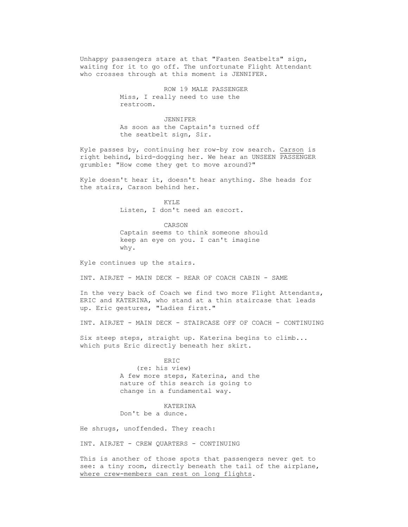Unhappy passengers stare at that "Fasten Seatbelts" sign, waiting for it to go off. The unfortunate Flight Attendant who crosses through at this moment is JENNIFER.

> ROW 19 MALE PASSENGER Miss, I really need to use the restroom.

 JENNIFER As soon as the Captain's turned off the seatbelt sign, Sir.

 Kyle passes by, continuing her row-by row search. Carson is right behind, bird-dogging her. We hear an UNSEEN PASSENGER grumble: "How come they get to move around?"

 Kyle doesn't hear it, doesn't hear anything. She heads for the stairs, Carson behind her.

> KYLE Listen, I don't need an escort.

 CARSON Captain seems to think someone should keep an eye on you. I can't imagine why.

Kyle continues up the stairs.

INT. AIRJET - MAIN DECK - REAR OF COACH CABIN - SAME

 In the very back of Coach we find two more Flight Attendants, ERIC and KATERINA, who stand at a thin staircase that leads up. Eric gestures, "Ladies first."

INT. AIRJET - MAIN DECK - STAIRCASE OFF OF COACH - CONTINUING

 Six steep steps, straight up. Katerina begins to climb... which puts Eric directly beneath her skirt.

**ERIC**  (re: his view) A few more steps, Katerina, and the nature of this search is going to change in a fundamental way.

> KATERINA Don't be a dunce.

He shrugs, unoffended. They reach:

INT. AIRJET - CREW QUARTERS - CONTINUING

 This is another of those spots that passengers never get to see: a tiny room, directly beneath the tail of the airplane, where crew-members can rest on long flights.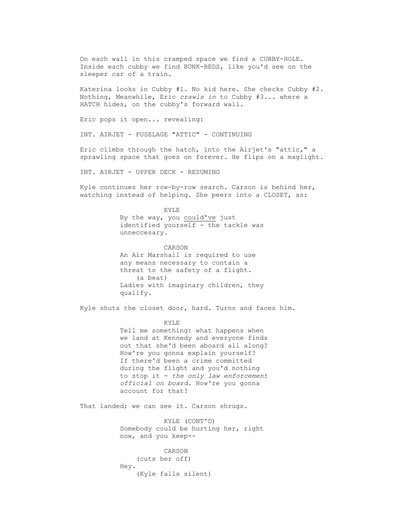On each wall in this cramped space we find a CUBBY-HOLE. Inside each cubby we find BUNK-BEDS, like you'd see on the sleeper car of a train.

 Katerina looks in Cubby #1. No kid here. She checks Cubby #2. Nothing, Meanwhile, Eric *crawls in* to Cubby #3... where a HATCH hides, on the cubby's forward wall.

Eric pops it open... revealing:

INT. AIRJET - FUSELAGE "ATTIC" - CONTINUING

 Eric climbs through the hatch, into the Airjet's "attic," a sprawling space that goes on forever. He flips on a maglight.

INT. AIRJET - UPPER DECK - RESUMING

 Kyle continues her row-by-row search. Carson is behind her, watching instead of helping. She peers into a CLOSET, as:

 KYLE By the way, you could've just identified yourself - the tackle was unneccesary.

> CARSON An Air Marshall is required to use any means necessary to contain a threat to the safety of a flight. (a beat) Ladies with imaginary children, they qualify.

Kyle shuts the closet door, hard. Turns and faces him.

**KYLE**  Tell me something: what happens when we land at Kennedy and everyone finds out that she'd been aboard all along? How're you gonna explain yourself? If there'd been a crime committed during the flight and you'd nothing to stop it - *the only law enforcement official on board.* How're you gonna account for that?

That landed; we can see it. Carson shrugs.

 KYLE (CONT'D) Somebody could be hurting her, right now, and you keep--

 CARSON (cuts her off) Hey. (Kyle falls silent)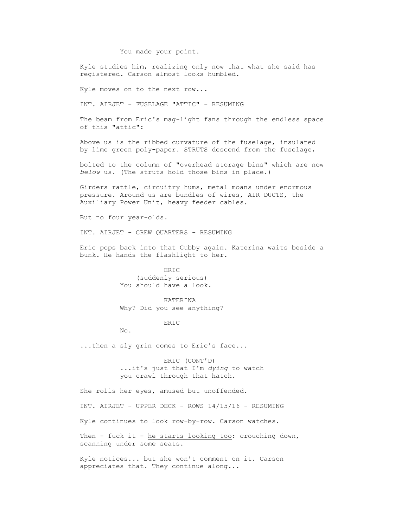# You made your point.

 Kyle studies him, realizing only now that what she said has registered. Carson almost looks humbled.

Kyle moves on to the next row...

INT. AIRJET - FUSELAGE "ATTIC" - RESUMING

 The beam from Eric's mag-light fans through the endless space of this "attic":

 Above us is the ribbed curvature of the fuselage, insulated by lime green poly-paper. STRUTS descend from the fuselage,

 bolted to the column of "overhead storage bins" which are now *below* us. (The struts hold those bins in place.)

 Girders rattle, circuitry hums, metal moans under enormous pressure. Around us are bundles of wires, AIR DUCTS, the Auxiliary Power Unit, heavy feeder cables.

But no four year-olds.

INT. AIRJET - CREW QUARTERS - RESUMING

 Eric pops back into that Cubby again. Katerina waits beside a bunk. He hands the flashlight to her.

> ERIC (suddenly serious) You should have a look.

 KATERINA Why? Did you see anything?

# ERIC

No.

...then a sly grin comes to Eric's face...

 ERIC (CONT'D) ...it's just that I'm *dying* to watch you crawl through that hatch.

She rolls her eyes, amused but unoffended.

INT. AIRJET - UPPER DECK - ROWS 14/15/16 - RESUMING

Kyle continues to look row-by-row. Carson watches.

Then - fuck it - he starts looking too: crouching down, scanning under some seats.

 Kyle notices... but she won't comment on it. Carson appreciates that. They continue along...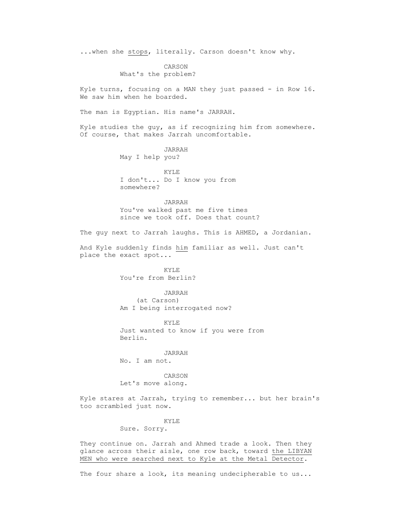...when she stops, literally. Carson doesn't know why.

 CARSON What's the problem?

 Kyle turns, focusing on a MAN they just passed - in Row 16. We saw him when he boarded.

The man is Egyptian. His name's JARRAH.

 Kyle studies the guy, as if recognizing him from somewhere. Of course, that makes Jarrah uncomfortable.

> JARRAH May I help you?

 KYLE I don't... Do I know you from somewhere?

 JARRAH You've walked past me five times since we took off. Does that count?

The guy next to Jarrah laughs. This is AHMED, a Jordanian.

 And Kyle suddenly finds him familiar as well. Just can't place the exact spot...

> KYLE You're from Berlin?

 JARRAH (at Carson) Am I being interrogated now?

 KYLE Just wanted to know if you were from Berlin.

 JARRAH No. I am not.

 CARSON Let's move along.

 Kyle stares at Jarrah, trying to remember... but her brain's too scrambled just now.

# KYLE

Sure. Sorry.

 They continue on. Jarrah and Ahmed trade a look. Then they glance across their aisle, one row back, toward the LIBYAN MEN who were searched next to Kyle at the Metal Detector.

The four share a look, its meaning undecipherable to us...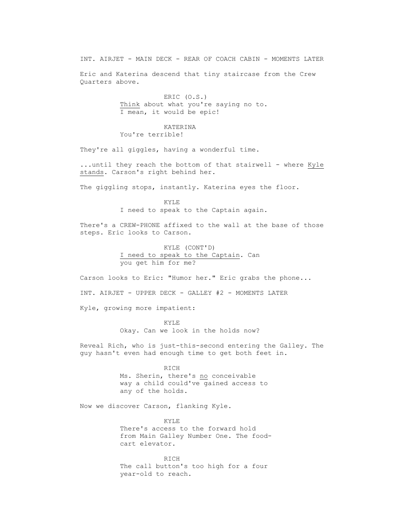INT. AIRJET - MAIN DECK - REAR OF COACH CABIN - MOMENTS LATER

 Eric and Katerina descend that tiny staircase from the Crew Quarters above.

> ERIC (O.S.) Think about what you're saying no to. I mean, it would be epic!

# KATERINA

You're terrible!

They're all giggles, having a wonderful time.

 ...until they reach the bottom of that stairwell - where Kyle stands. Carson's right behind her.

The giggling stops, instantly. Katerina eyes the floor.

 KYLE I need to speak to the Captain again.

 There's a CREW-PHONE affixed to the wall at the base of those steps. Eric looks to Carson.

> KYLE (CONT'D) I need to speak to the Captain. Can you get him for me?

Carson looks to Eric: "Humor her." Eric grabs the phone...

INT. AIRJET - UPPER DECK - GALLEY #2 - MOMENTS LATER

Kyle, growing more impatient:

**KYLE** Okay. Can we look in the holds now?

> Reveal Rich, who is just-this-second entering the Galley. The guy hasn't even had enough time to get both feet in.

> > RICH Ms. Sherin, there's no conceivable way a child could've gained access to any of the holds.

Now we discover Carson, flanking Kyle.

**KYLE**  There's access to the forward hold from Main Galley Number One. The foodcart elevator.

> RICH The call button's too high for a four year-old to reach.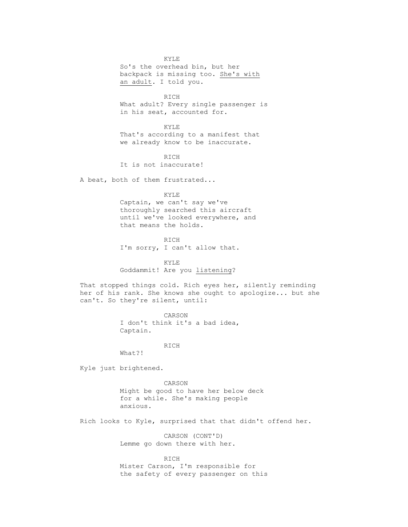KYLE So's the overhead bin, but her backpack is missing too. She's with an adult. I told you.

**RICH**  What adult? Every single passenger is in his seat, accounted for.

> KYLE That's according to a manifest that we already know to be inaccurate.

**RICH** It is not inaccurate!

A beat, both of them frustrated...

KYLE

 Captain, we can't say we've thoroughly searched this aircraft until we've looked everywhere, and that means the holds.

 RICH I'm sorry, I can't allow that.

 KYLE Goddammit! Are you listening?

 That stopped things cold. Rich eyes her, silently reminding her of his rank. She knows she ought to apologize... but she can't. So they're silent, until:

> CARSON I don't think it's a bad idea, Captain.

**RICH** 

What?!

Kyle just brightened.

 CARSON Might be good to have her below deck for a while. She's making people anxious.

Rich looks to Kyle, surprised that that didn't offend her.

 CARSON (CONT'D) Lemme go down there with her.

 RICH Mister Carson, I'm responsible for the safety of every passenger on this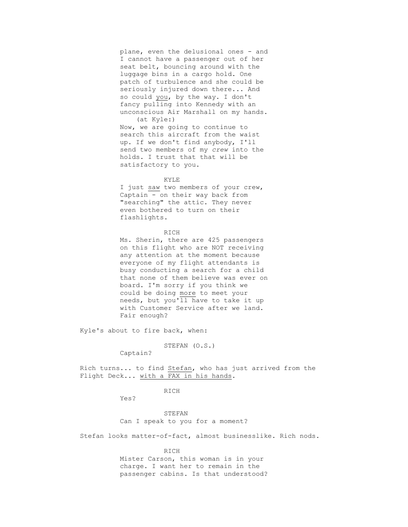plane, even the delusional ones - and I cannot have a passenger out of her seat belt, bouncing around with the luggage bins in a cargo hold. One patch of turbulence and she could be seriously injured down there... And so could you, by the way. I don't fancy pulling into Kennedy with an unconscious Air Marshall on my hands. (at Kyle:)

 Now, we are going to continue to search this aircraft from the waist up. If we don't find anybody, I'll send two members of my *crew* into the holds. I trust that that will be satisfactory to you.

# KYLE

I just saw two members of your crew, Captain - on their way back from "searching" the attic. They never even bothered to turn on their flashlights.

#### RICH

 Ms. Sherin, there are 425 passengers on this flight who are NOT receiving any attention at the moment because everyone of my flight attendants is busy conducting a search for a child that none of them believe was ever on board. I'm sorry if you think we could be doing more to meet your needs, but you'll have to take it up with Customer Service after we land. Fair enough?

Kyle's about to fire back, when:

STEFAN (O.S.)

Captain?

 Rich turns... to find Stefan, who has just arrived from the Flight Deck... with a FAX in his hands.

# RICH

Yes?

 STEFAN Can I speak to you for a moment?

Stefan looks matter-of-fact, almost businesslike. Rich nods.

 RICH Mister Carson, this woman is in your charge. I want her to remain in the passenger cabins. Is that understood?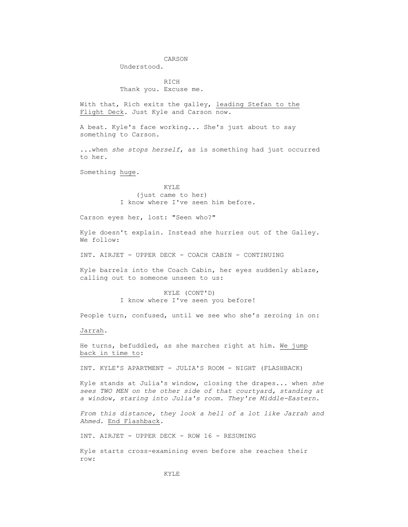# CARSON

Understood.

 RICH Thank you. Excuse me.

 With that, Rich exits the galley, leading Stefan to the Flight Deck. Just Kyle and Carson now.

 A beat. Kyle's face working... She's just about to say something to Carson.

 ...when *she stops herself*, as is something had just occurred to her.

Something huge.

 KYLE (just came to her) I know where I've seen him before.

Carson eyes her, lost: "Seen who?"

 Kyle doesn't explain. Instead she hurries out of the Galley. We follow:

INT. AIRJET - UPPER DECK - COACH CABIN - CONTINUING

 Kyle barrels into the Coach Cabin, her eyes suddenly ablaze, calling out to someone unseen to us:

> KYLE (CONT'D) I know where I've seen you before!

People turn, confused, until we see who she's zeroing in on:

Jarrah.

 He turns, befuddled, as she marches right at him. We jump back in time to:

INT. KYLE'S APARTMENT - JULIA'S ROOM - NIGHT (FLASHBACK)

 Kyle stands at Julia's window, closing the drapes... when *she sees TWO MEN on the other side of that courtyard, standing at a window, staring into Julia's room. They're Middle-Eastern.*

 *From this distance, they look a hell of a lot like Jarrah and Ahmed.* End Flashback.

INT. AIRJET - UPPER DECK - ROW 16 - RESUMING

 Kyle starts cross-examining even before she reaches their row: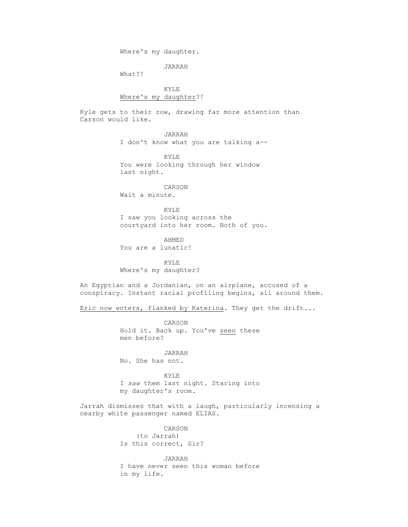Where's my daughter.

JARRAH

What?!

 KYLE Where's my daughter?!

 Kyle gets to their row, drawing far more attention than Carson would like.

> JARRAH I don't know what you are talking a--

 KYLE You were looking through her window last night.

> CARSON Wait a minute.

 KYLE I saw you looking across the courtyard into her room. Both of you.

 AHMED You are a lunatic!

**KYLE** Where's my daughter?

> An Egyptian and a Jordanian, on an airplane, accused of a conspiracy. Instant racial profiling begins, all around them.

Eric now enters, flanked by Katerina. They get the drift...

 CARSON Hold it. Back up. You've seen these men before?

 JARRAH No. She has not.

 KYLE I *saw* them last night. Staring into my daughter's room.

> Jarrah dismisses that with a laugh, particularly incensing a nearby white passenger named ELIAS.

> > CARSON (to Jarrah) Is this correct, Sir?

 JARRAH I have never seen this woman before in my life.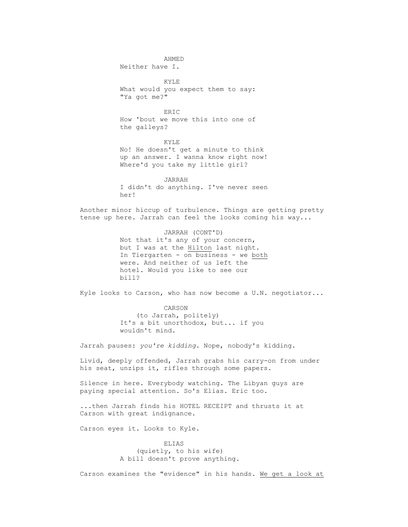AHMED Neither have I. KYLE What would you expect them to say: "Ya got me?" **ERIC**  How 'bout we move this into one of the galleys? KYLE No! He doesn't get a minute to think up an answer. I wanna know right now! Where'd you take my little girl? JARRAH I didn't do anything. I've never seen her! Another minor hiccup of turbulence. Things are getting pretty tense up here. Jarrah can feel the looks coming his way... JARRAH (CONT'D) Not that it's any of your concern, but I was at the Hilton last night. In Tiergarten - on business - we both were. And neither of us left the hotel. Would you like to see our bill? Kyle looks to Carson, who has now become a U.N. negotiator... CARSON (to Jarrah, politely) It's a bit unorthodox, but... if you wouldn't mind. Jarrah pauses: *you're kidding.* Nope, nobody's kidding. Livid, deeply offended, Jarrah grabs his carry-on from under his seat, unzips it, rifles through some papers. Silence in here. Everybody watching. The Libyan guys are paying special attention. So's Elias. Eric too. ...then Jarrah finds his HOTEL RECEIPT and thrusts it at Carson with great indignance. Carson eyes it. Looks to Kyle. ELIAS (quietly, to his wife) A bill doesn't prove anything.

Carson examines the "evidence" in his hands. We get a look at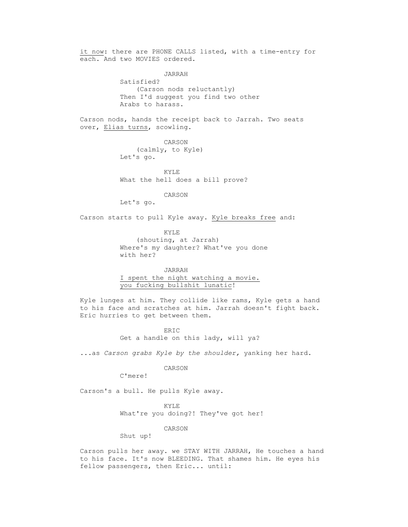it now: there are PHONE CALLS listed, with a time-entry for each. And two MOVIES ordered.

> JARRAH Satisfied? (Carson nods reluctantly) Then I'd suggest you find two other Arabs to harass.

 Carson nods, hands the receipt back to Jarrah. Two seats over, Elias turns, scowling.

> CARSON (calmly, to Kyle) Let's go.

 KYLE What the hell does a bill prove?

CARSON

Let's go.

Carson starts to pull Kyle away. Kyle breaks free and:

 KYLE (shouting, at Jarrah) Where's my daughter? What've you done with her?

 JARRAH I spent the night watching a movie. you fucking bullshit lunatic!

 Kyle lunges at him. They collide like rams, Kyle gets a hand to his face and scratches at him. Jarrah doesn't fight back. Eric hurries to get between them.

> ERIC Get a handle on this lady, will ya?

...as *Carson grabs Kyle by the shoulder,* yanking her hard.

#### CARSON

C'mere!

Carson's a bull. He pulls Kyle away.

#### KYLE

What're you doing?! They've got her!

CARSON

Shut up!

 Carson pulls her away. we STAY WITH JARRAH, He touches a hand to his face. It's now BLEEDING. That shames him. He eyes his fellow passengers, then Eric... until: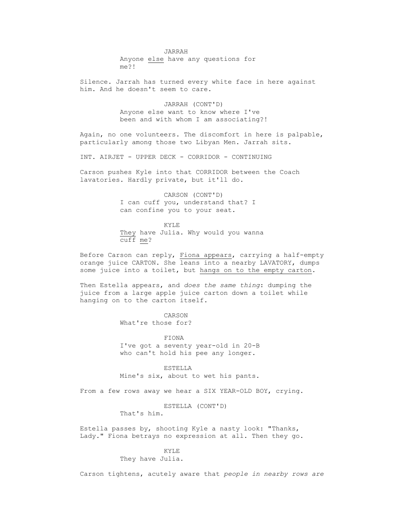JARRAH Anyone else have any questions for me?!

 Silence. Jarrah has turned every white face in here against him. And he doesn't seem to care.

> JARRAH (CONT'D) Anyone else want to know where I've been and with whom I am associating?!

 Again, no one volunteers. The discomfort in here is palpable, particularly among those two Libyan Men. Jarrah sits.

INT. AIRJET - UPPER DECK - CORRIDOR - CONTINUING

 Carson pushes Kyle into that CORRIDOR between the Coach lavatories. Hardly private, but it'll do.

> CARSON (CONT'D) I can cuff you, understand that? I can confine you to your seat.

**KYLE**  They have Julia. Why would you wanna cuff me?

> Before Carson can reply, Fiona appears, carrying a half-empty orange juice CARTON. She leans into a nearby LAVATORY, dumps some juice into a toilet, but hangs on to the empty carton.

 Then Estella appears, and *does the same thing*: dumping the juice from a large apple juice carton down a toilet while hanging on to the carton itself.

> CARSON What're those for?

 FIONA I've got a seventy year-old in 20-B who can't hold his pee any longer.

 ESTELLA Mine's six, about to wet his pants.

From a few rows away we hear a SIX YEAR-OLD BOY, crying.

ESTELLA (CONT'D)

That's him.

 Estella passes by, shooting Kyle a nasty look: "Thanks, Lady." Fiona betrays no expression at all. Then they go.

> KYLE They have Julia.

Carson tightens, acutely aware that *people in nearby rows are*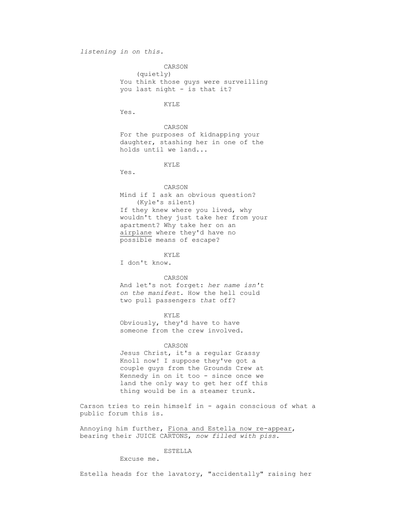# *listening in on this.*

 CARSON (quietly) You think those guys were surveilling you last night - is that it?

# **KYLE**

Yes.

 CARSON For the purposes of kidnapping your daughter, stashing her in one of the holds until we land...

KYLE

Yes.

 CARSON Mind if I ask an obvious question? (Kyle's silent) If they knew where you lived, why wouldn't they just take her from your apartment? Why take her on an airplane where they'd have no possible means of escape?

 KYLE I don't know.

 CARSON And let's not forget: *her name isn't on the manifest.* How the hell could two pull passengers *that* off?

 KYLE Obviously, they'd have to have someone from the crew involved.

# CARSON

 Jesus Christ, it's a regular Grassy Knoll now! I suppose they've got a couple guys from the Grounds Crew at Kennedy in on it too - since once we land the only way to get her off this thing would be in a steamer trunk.

 Carson tries to rein himself in - again conscious of what a public forum this is.

 Annoying him further, Fiona and Estella now re-appear, bearing their JUICE CARTONS, *now filled with piss.*

ESTELLA

Excuse me.

Estella heads for the lavatory, "accidentally" raising her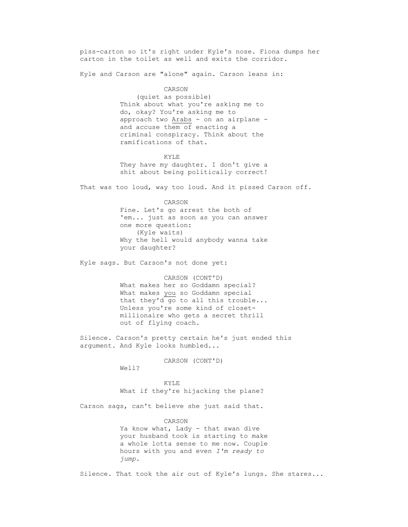piss-carton so it's right under Kyle's nose. Fiona dumps her carton in the toilet as well and exits the corridor.

Kyle and Carson are "alone" again. Carson leans in:

#### CARSON

 (quiet as possible) Think about what you're asking me to do, okay? You're asking me to approach two Arabs - on an airplane and accuse them of enacting a criminal conspiracy. Think about the ramifications of that.

 KYLE They have my daughter. I don't give a shit about being politically correct!

That was too loud, way too loud. And it pissed Carson off.

 CARSON Fine. Let's go arrest the both of 'em... just as soon as you can answer one more question: (Kyle waits) Why the hell would anybody wanna take your daughter?

Kyle sags. But Carson's not done yet:

 CARSON (CONT'D) What makes her so Goddamn special? What makes you so Goddamn special that they'd go to all this trouble... Unless you're some kind of closetmillionaire who gets a secret thrill out of flying coach.

 Silence. Carson's pretty certain he's just ended this argument. And Kyle looks humbled...

CARSON (CONT'D)

Well?

 KYLE What if they're hijacking the plane?

Carson sags, can't believe she just said that.

 CARSON Ya know what, Lady - that swan dive your husband took is starting to make a whole lotta sense to me now. Couple hours with you and even *I'm ready to jump.*

Silence. That took the air out of Kyle's lungs. She stares...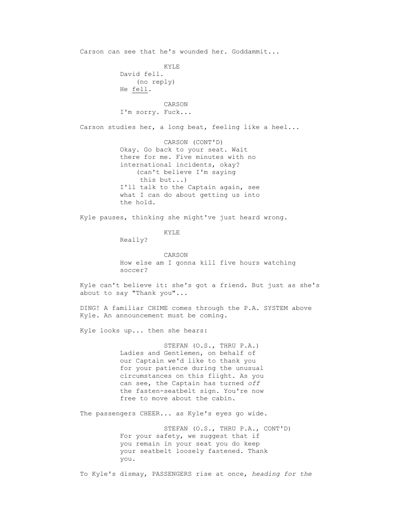Carson can see that he's wounded her. Goddammit... KYLE David fell. (no reply) He fell. CARSON I'm sorry. Fuck... Carson studies her, a long beat, feeling like a heel... CARSON (CONT'D) Okay. Go back to your seat. Wait there for me. Five minutes with no international incidents, okay? (can't believe I'm saying this but...) I'll talk to the Captain again, see what I can do about getting us into the hold. Kyle pauses, thinking she might've just heard wrong. KYLE Really? CARSON How else am I gonna kill five hours watching soccer? Kyle can't believe it: she's got a friend. But just as she's about to say "Thank you"... DING! A familiar CHIME comes through the P.A. SYSTEM above Kyle. An announcement must be coming. Kyle looks up... then she hears: STEFAN (O.S., THRU P.A.) Ladies and Gentlemen, on behalf of our Captain we'd like to thank you for your patience during the unusual circumstances on this flight. As you can see, the Captain has turned *off* the fasten-seatbelt sign. You're now free to move about the cabin. The passengers CHEER... as Kyle's eyes go wide. STEFAN (O.S., THRU P.A., CONT'D) For your safety, we suggest that if you remain in your seat you do keep your seatbelt loosely fastened. Thank you. To Kyle's dismay, PASSENGERS rise at once, *heading for the*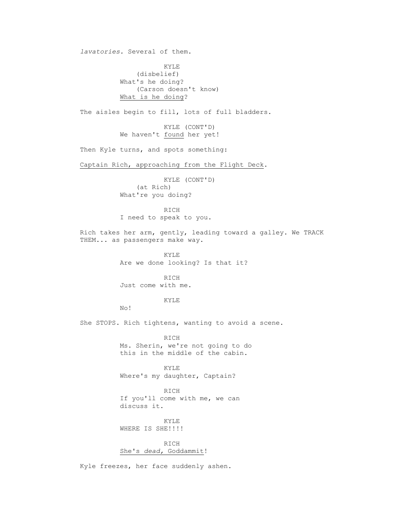*lavatories.* Several of them. KYLE (disbelief) What's he doing? (Carson doesn't know) What is he doing? The aisles begin to fill, lots of full bladders. KYLE (CONT'D) We haven't found her yet! Then Kyle turns, and spots something: Captain Rich, approaching from the Flight Deck. KYLE (CONT'D) (at Rich) What're you doing? RICH I need to speak to you. Rich takes her arm, gently, leading toward a galley. We TRACK THEM... as passengers make way. KYLE Are we done looking? Is that it? RICH Just come with me. KYLE No! She STOPS. Rich tightens, wanting to avoid a scene. RICH Ms. Sherin, we're not going to do this in the middle of the cabin. KYLE Where's my daughter, Captain? RICH If you'll come with me, we can discuss it. KYLE WHERE IS SHE!!!! RICH She's *dead,* Goddammit! Kyle freezes, her face suddenly ashen.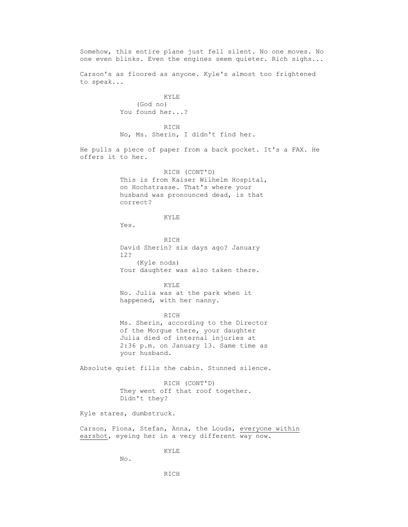Somehow, this entire plane just fell silent. No one moves. No one even blinks. Even the engines seem quieter. Rich sighs... Carson's as floored as anyone. Kyle's almost too frightened to speak... KYLE (God no) You found her...? RICH No, Ms. Sherin, I didn't find her. He pulls a piece of paper from a back pocket. It's a FAX. He offers it to her. RICH (CONT'D) This is from Kaiser Wilhelm Hospital, on Hochstrasse. That's where your husband was pronounced dead, is that correct? KYLE Yes. **RICH**  David Sherin? six days ago? January 12? (Kyle nods) Your daughter was also taken there. KYLE No. Julia was at the park when it happened, with her nanny. RICH Ms. Sherin, according to the Director of the Morgue there, your daughter Julia died of internal injuries at 2:36 p.m. on January 13. Same time as your husband. Absolute quiet fills the cabin. Stunned silence. RICH (CONT'D) They went off that roof together. Didn't they? Kyle stares, dumbstruck. Carson, Fiona, Stefan, Anna, the Louds, everyone within earshot, eyeing her in a very different way now. KYLE No. RICH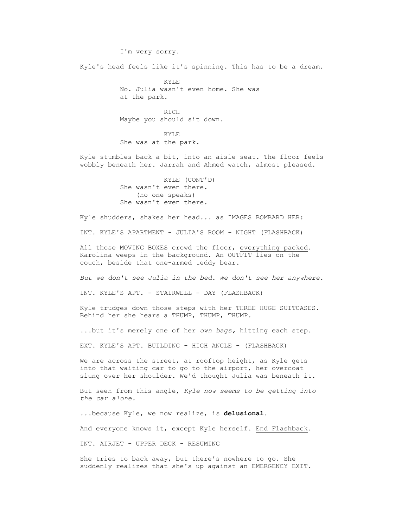Kyle's head feels like it's spinning. This has to be a dream.

 KYLE No. Julia wasn't even home. She was at the park.

**RICH** Maybe you should sit down.

 KYLE She was at the park.

I'm very sorry.

 Kyle stumbles back a bit, into an aisle seat. The floor feels wobbly beneath her. Jarrah and Ahmed watch, almost pleased.

> KYLE (CONT'D) She wasn't even there. (no one speaks) She wasn't even there.

Kyle shudders, shakes her head... as IMAGES BOMBARD HER:

INT. KYLE'S APARTMENT - JULIA'S ROOM - NIGHT (FLASHBACK)

 All those MOVING BOXES crowd the floor, everything packed. Karolina weeps in the background. An OUTFIT lies on the couch, beside that one-armed teddy bear.

*But we don't see Julia in the bed. We don't see her anywhere.*

INT. KYLE'S APT. - STAIRWELL - DAY (FLASHBACK)

 Kyle trudges down those steps with her THREE HUGE SUITCASES. Behind her she hears a THUMP, THUMP, THUMP.

...but it's merely one of her *own bags,* hitting each step.

EXT. KYLE'S APT. BUILDING - HIGH ANGLE - (FLASHBACK)

We are across the street, at rooftop height, as Kyle gets into that waiting car to go to the airport, her overcoat slung over her shoulder. We'd thought Julia was beneath it.

 But seen from this angle, *Kyle now seems to be getting into the car alone.*

...because Kyle, we now realize, is **delusional**.

And everyone knows it, except Kyle herself. End Flashback.

INT. AIRJET - UPPER DECK - RESUMING

 She tries to back away, but there's nowhere to go. She suddenly realizes that she's up against an EMERGENCY EXIT.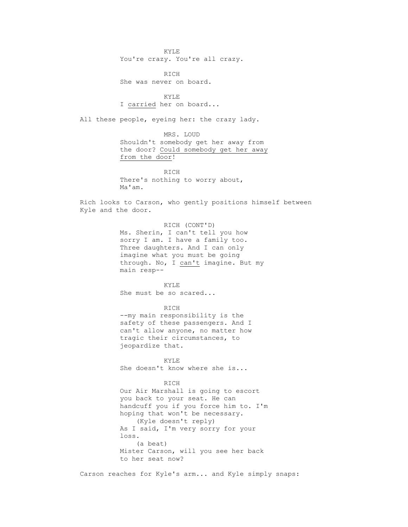KYLE You're crazy. You're all crazy.

 RICH She was never on board.

 KYLE I carried her on board...

All these people, eyeing her: the crazy lady.

 MRS. LOUD Shouldn't somebody get her away from the door? Could somebody get her away from the door!

 RICH There's nothing to worry about, Ma'am.

Rich looks to Carson, who gently positions himself between Kyle and the door.

> RICH (CONT'D) Ms. Sherin, I can't tell you how sorry I am. I have a family too. Three daughters. And I can only imagine what you must be going through. No, I can't imagine. But my main resp--

 KYLE She must be so scared...

 RICH --my main responsibility is the safety of these passengers. And I can't allow anyone, no matter how tragic their circumstances, to jeopardize that.

**KYLE** She doesn't know where she is...

> RICH Our Air Marshall is going to escort you back to your seat. He can handcuff you if you force him to. I'm hoping that won't be necessary. (Kyle doesn't reply) As I said, I'm very sorry for your loss. (a beat) Mister Carson, will you see her back to her seat now?

Carson reaches for Kyle's arm... and Kyle simply snaps: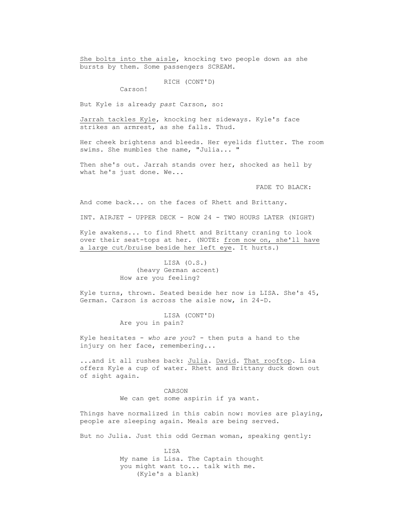She bolts into the aisle, knocking two people down as she bursts by them. Some passengers SCREAM.

RICH (CONT'D)

Carson!

But Kyle is already *past* Carson, so:

 Jarrah tackles Kyle, knocking her sideways. Kyle's face strikes an armrest, as she falls. Thud.

 Her cheek brightens and bleeds. Her eyelids flutter. The room swims. She mumbles the name, "Julia... "

Then she's out. Jarrah stands over her, shocked as hell by what he's just done. We...

FADE TO BLACK:

And come back... on the faces of Rhett and Brittany.

INT. AIRJET - UPPER DECK - ROW 24 - TWO HOURS LATER (NIGHT)

 Kyle awakens... to find Rhett and Brittany craning to look over their seat-tops at her. (NOTE: from now on, she'll have a large cut/bruise beside her left eye. It hurts.)

> LISA (O.S.) (heavy German accent) How are you feeling?

 Kyle turns, thrown. Seated beside her now is LISA. She's 45, German. Carson is across the aisle now, in 24-D.

> LISA (CONT'D) Are you in pain?

 Kyle hesitates - *who are you*? - then puts a hand to the injury on her face, remembering...

 ...and it all rushes back: Julia. David. That rooftop. Lisa offers Kyle a cup of water. Rhett and Brittany duck down out of sight again.

> CARSON We can get some aspirin if ya want.

 Things have normalized in this cabin now: movies are playing, people are sleeping again. Meals are being served.

But no Julia. Just this odd German woman, speaking gently:

 LISA My name is Lisa. The Captain thought you might want to... talk with me. (Kyle's a blank)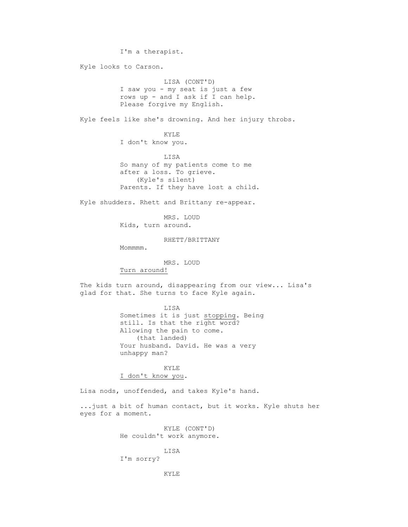I'm a therapist. Kyle looks to Carson. LISA (CONT'D) I saw you - my seat is just a few rows up - and I ask if I can help. Please forgive my English. Kyle feels like she's drowning. And her injury throbs. KYLE I don't know you. LISA So many of my patients come to me after a loss. To grieve. (Kyle's silent) Parents. If they have lost a child. Kyle shudders. Rhett and Brittany re-appear. MRS. LOUD Kids, turn around. RHETT/BRITTANY Mommmm. MRS. LOUD Turn around! The kids turn around, disappearing from our view... Lisa's glad for that. She turns to face Kyle again. LISA Sometimes it is just stopping. Being still. Is that the right word? Allowing the pain to come. (that landed) Your husband. David. He was a very unhappy man? KYLE I don't know you. Lisa nods, unoffended, and takes Kyle's hand. ...just a bit of human contact, but it works. Kyle shuts her eyes for a moment. KYLE (CONT'D) He couldn't work anymore.

> LISA I'm sorry?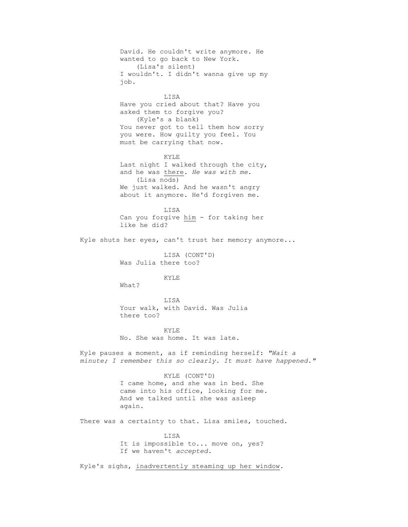David. He couldn't write anymore. He wanted to go back to New York. (Lisa's silent) I wouldn't. I didn't wanna give up my job. LISA Have you cried about that? Have you asked them to forgive you? (Kyle's a blank) You never got to tell them how sorry you were. How guilty you feel. You must be carrying that now. KYLE Last night I walked through the city, and he was there. *He was with me*. (Lisa nods) We just walked. And he wasn't angry about it anymore. He'd forgiven me. LISA Can you forgive him - for taking her like he did? Kyle shuts her eyes, can't trust her memory anymore... LISA (CONT'D) Was Julia there too? KYLE What? LISA Your walk, with David. Was Julia there too? KYLE No. She was home. It was late. Kyle pauses a moment, as if reminding herself: *"Wait a minute; I remember this so clearly. It must have happened."* KYLE (CONT'D) I came home, and she was in bed. She came into his office, looking for me. And we talked until she was asleep again. There was a certainty to that. Lisa smiles, touched. LISA It is impossible to... move on, yes? If we haven't *accepted.*

Kyle's sighs, inadvertently steaming up her window.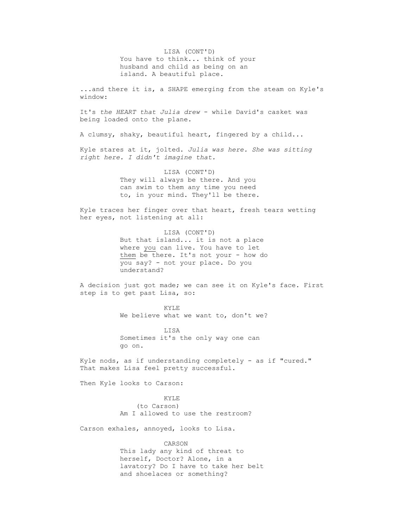LISA (CONT'D) You have to think... think of your husband and child as being on an island. A beautiful place.

 ...and there it is, a SHAPE emerging from the steam on Kyle's window:

 It's *the HEART that Julia drew* - while David's casket was being loaded onto the plane.

A clumsy, shaky, beautiful heart, fingered by a child...

 Kyle stares at it, jolted. *Julia was here. She was sitting right here. I didn't imagine that.*

> LISA (CONT'D) They will always be there. And you can swim to them any time you need to, in your mind. They'll be there.

 Kyle traces her finger over that heart, fresh tears wetting her eyes, not listening at all:

> LISA (CONT'D) But that island... it is not a place where you can live. You have to let them be there. It's not your - how do you say? - not your place. Do you understand?

 A decision just got made; we can see it on Kyle's face. First step is to get past Lisa, so:

> KYLE We believe what we want to, don't we?

 LISA Sometimes it's the only way one can go on.

 Kyle nods, as if understanding completely - as if "cured." That makes Lisa feel pretty successful.

Then Kyle looks to Carson:

 KYLE (to Carson) Am I allowed to use the restroom?

Carson exhales, annoyed, looks to Lisa.

 CARSON This lady any kind of threat to herself, Doctor? Alone, in a lavatory? Do I have to take her belt and shoelaces or something?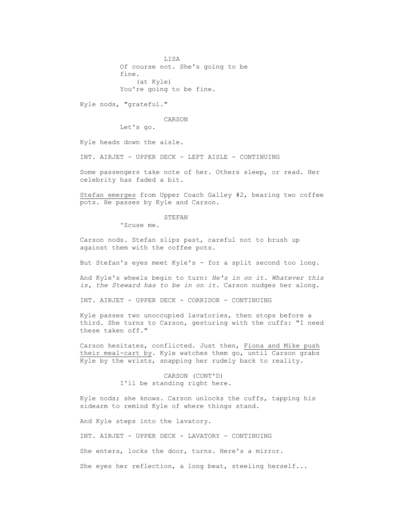LISA Of course not. She's going to be fine. (at Kyle) You're going to be fine.

Kyle nods, "grateful."

CARSON

Let's go.

Kyle heads down the aisle.

INT. AIRJET - UPPER DECK - LEFT AISLE - CONTINUING

 Some passengers take note of her. Others sleep, or read. Her celebrity has faded a bit.

 Stefan emerges from Upper Coach Galley #2, bearing two coffee pots. He passes by Kyle and Carson.

#### STEFAN

'Scuse me.

 Carson nods. Stefan slips past, careful not to brush up against them with the coffee pots.

But Stefan's eyes meet Kyle's - for a split second too long.

 And Kyle's wheels begin to turn: *He's in on it. Whatever this is, the Steward has to be in on it.* Carson nudges her along.

INT. AIRJET - UPPER DECK - CORRIDOR - CONTINUING

 Kyle passes two unoccupied lavatories, then stops before a third. She turns to Carson, gesturing with the cuffs: "I need these taken off."

 Carson hesitates, conflicted. Just then, Fiona and Mike push their meal-cart by. Kyle watches them go, until Carson grabs Kyle by the wrists, snapping her rudely back to reality.

> CARSON (CONT'D) I'll be standing right here.

 Kyle nods; she knows. Carson unlocks the cuffs, tapping his sidearm to remind Kyle of where things stand.

And Kyle steps into the lavatory.

INT. AIRJET - UPPER DECK - LAVATORY - CONTINUING

She enters, locks the door, turns. Here's a mirror.

She eyes her reflection, a long beat, steeling herself...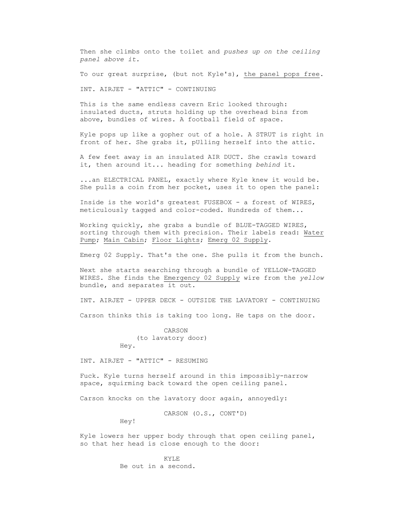Then she climbs onto the toilet and *pushes up on the ceiling panel above it.*

To our great surprise, (but not Kyle's), the panel pops free.

INT. AIRJET - "ATTIC" - CONTINUING

 This is the same endless cavern Eric looked through: insulated ducts, struts holding up the overhead bins from above, bundles of wires. A football field of space.

 Kyle pops up like a gopher out of a hole. A STRUT is right in front of her. She grabs it, pUlling herself into the attic.

 A few feet away is an insulated AIR DUCT. She crawls toward it, then around it... heading for something *behind* it.

 ...an ELECTRICAL PANEL, exactly where Kyle knew it would be. She pulls a coin from her pocket, uses it to open the panel:

 Inside is the world's greatest FUSEBOX - a forest of WIRES, meticulously tagged and color-coded. Hundreds of them...

 Working quickly, she grabs a bundle of BLUE-TAGGED WIRES, sorting through them with precision. Their labels read: Water Pump; Main Cabin; Floor Lights; Emerg 02 Supply.

Emerg 02 Supply. That's the one. She pulls it from the bunch.

 Next she starts searching through a bundle of YELLOW-TAGGED WIRES. She finds the Emergency 02 Supply wire from the *yellow* bundle, and separates it out.

INT. AIRJET - UPPER DECK - OUTSIDE THE LAVATORY - CONTINUING

Carson thinks this is taking too long. He taps on the door.

 CARSON (to lavatory door) Hey.

INT. AIRJET - "ATTIC" - RESUMING

 Fuck. Kyle turns herself around in this impossibly-narrow space, squirming back toward the open ceiling panel.

Carson knocks on the lavatory door again, annoyedly:

CARSON (O.S., CONT'D)

Hey!

 Kyle lowers her upper body through that open ceiling panel, so that her head is close enough to the door:

**KYLE** Be out in a second.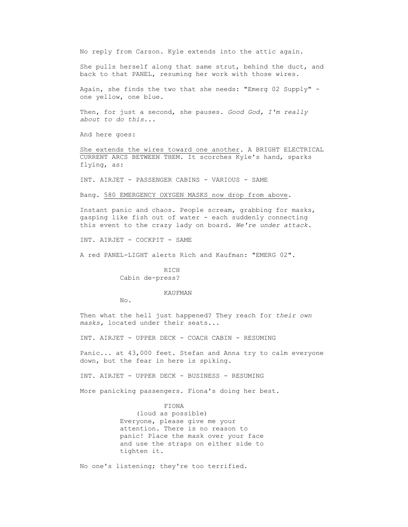No reply from Carson. Kyle extends into the attic again.

 She pulls herself along that same strut, behind the duct, and back to that PANEL, resuming her work with those wires.

 Again, she finds the two that she needs: "Emerg 02 Supply" one yellow, one blue.

 Then, for just a second, she pauses. *Good God, I'm really about to do this...*

And here goes:

 She extends the wires toward one another. A BRIGHT ELECTRICAL CURRENT ARCS BETWEEN THEM. It scorches Kyle's hand, sparks flying, as:

INT. AIRJET - PASSENGER CABINS - VARIOUS - SAME

Bang. 580 EMERGENCY OXYGEN MASKS now drop from above.

 Instant panic and chaos. People scream, grabbing for masks, gasping like fish out of water - each suddenly connecting this event to the crazy lady on board. *We're under attack.*

INT. AIRJET - COCKPIT - SAME

A red PANEL-LIGHT alerts Rich and Kaufman: "EMERG 02".

 RICH Cabin de-press?

# KAUFMAN

No.

 Then what the hell just happened? They reach for *their own masks,* located under their seats...

INT. AIRJET - UPPER DECK - COACH CABIN - RESUMING

 Panic... at 43,000 feet. Stefan and Anna try to calm everyone down, but the fear in here is spiking.

INT. AIRJET - UPPER DECK - BUSINESS - RESUMING

More panicking passengers. Fiona's doing her best.

# FIONA

 (loud as possible) Everyone, please give me your attention. There is no reason to panic! Place the mask over your face and use the straps on either side to tighten it.

No one's listening; they're too terrified.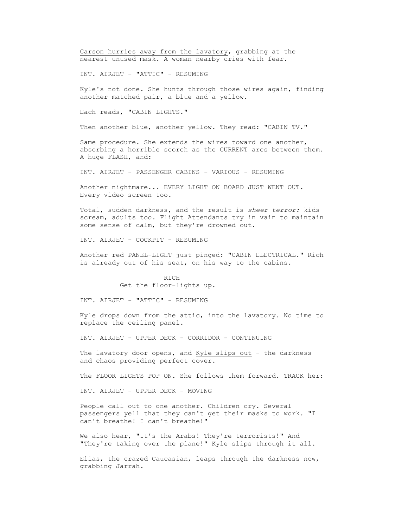Carson hurries away from the lavatory, grabbing at the nearest unused mask. A woman nearby cries with fear.

INT. AIRJET - "ATTIC" - RESUMING

 Kyle's not done. She hunts through those wires again, finding another matched pair, a blue and a yellow.

Each reads, "CABIN LIGHTS."

Then another blue, another yellow. They read: "CABIN TV."

 Same procedure. She extends the wires toward one another, absorbing a horrible scorch as the CURRENT arcs between them. A huge FLASH, and:

INT. AIRJET - PASSENGER CABINS - VARIOUS - RESUMING

 Another nightmare... EVERY LIGHT ON BOARD JUST WENT OUT. Every video screen too.

 Total, sudden darkness, and the result is *sheer terror:* kids scream, adults too. Flight Attendants try in vain to maintain some sense of calm, but they're drowned out.

INT. AIRJET - COCKPIT - RESUMING

 Another red PANEL-LIGHT just pinged: "CABIN ELECTRICAL." Rich is already out of his seat, on his way to the cabins.

> RICH Get the floor-lights up.

INT. AIRJET - "ATTIC" - RESUMING

 Kyle drops down from the attic, into the lavatory. No time to replace the ceiling panel.

INT. AIRJET - UPPER DECK - CORRIDOR - CONTINUING

The lavatory door opens, and Kyle slips out - the darkness and chaos providing perfect cover.

The FLOOR LIGHTS POP ON. She follows them forward. TRACK her:

INT. AIRJET - UPPER DECK - MOVING

 People call out to one another. Children cry. Several passengers yell that they can't get their masks to work. "I can't breathe! I can't breathe!"

We also hear, "It's the Arabs! They're terrorists!" And "They're taking over the plane!" Kyle slips through it all.

 Elias, the crazed Caucasian, leaps through the darkness now, grabbing Jarrah.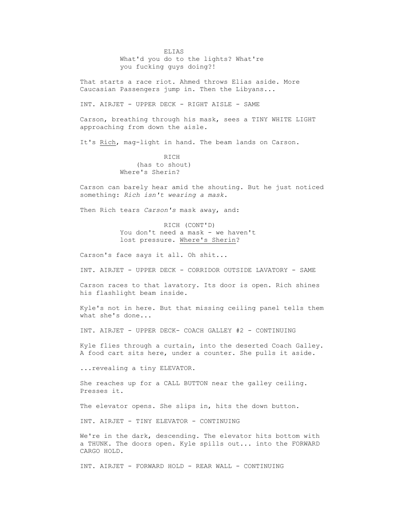ELIAS What'd you do to the lights? What're you fucking guys doing?!

 That starts a race riot. Ahmed throws Elias aside. More Caucasian Passengers jump in. Then the Libyans...

INT. AIRJET - UPPER DECK - RIGHT AISLE - SAME

 Carson, breathing through his mask, sees a TINY WHITE LIGHT approaching from down the aisle.

It's Rich, mag-light in hand. The beam lands on Carson.

 RICH (has to shout) Where's Sherin?

 Carson can barely hear amid the shouting. But he just noticed something: *Rich isn't wearing a mask.*

Then Rich tears *Carson's* mask away, and:

 RICH (CONT'D) You don't need a mask - we haven't lost pressure. Where's Sherin?

Carson's face says it all. Oh shit...

INT. AIRJET - UPPER DECK - CORRIDOR OUTSIDE LAVATORY - SAME

 Carson races to that lavatory. Its door is open. Rich shines his flashlight beam inside.

 Kyle's not in here. But that missing ceiling panel tells them what she's done...

INT. AIRJET - UPPER DECK- COACH GALLEY #2 - CONTINUING

 Kyle flies through a curtain, into the deserted Coach Galley. A food cart sits here, under a counter. She pulls it aside.

...revealing a tiny ELEVATOR.

 She reaches up for a CALL BUTTON near the galley ceiling. Presses it.

The elevator opens. She slips in, hits the down button.

INT. AIRJET - TINY ELEVATOR - CONTINUING

 We're in the dark, descending. The elevator hits bottom with a THUNK. The doors open. Kyle spills out... into the FORWARD CARGO HOLD.

INT. AIRJET - FORWARD HOLD - REAR WALL - CONTINUING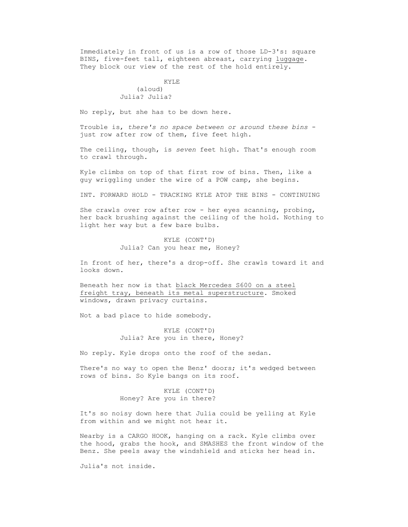Immediately in front of us is a row of those LD-3's: square BINS, five-feet tall, eighteen abreast, carrying luggage. They block our view of the rest of the hold entirely.

# KYLE (aloud) Julia? Julia?

No reply, but she has to be down here.

 Trouble is, *there's no space between or around these bins* just row after row of them, five feet high.

 The ceiling, though, is *seven* feet high. That's enough room to crawl through.

 Kyle climbs on top of that first row of bins. Then, like a guy wriggling under the wire of a POW camp, she begins.

INT. FORWARD HOLD - TRACKING KYLE ATOP THE BINS - CONTINUING

 She crawls over row after row - her eyes scanning, probing, her back brushing against the ceiling of the hold. Nothing to light her way but a few bare bulbs.

> KYLE (CONT'D) Julia? Can you hear me, Honey?

 In front of her, there's a drop-off. She crawls toward it and looks down.

 Beneath her now is that black Mercedes S600 on a steel freight tray, beneath its metal superstructure. Smoked windows, drawn privacy curtains.

Not a bad place to hide somebody.

 KYLE (CONT'D) Julia? Are you in there, Honey?

No reply. Kyle drops onto the roof of the sedan.

There's no way to open the Benz' doors; it's wedged between rows of bins. So Kyle bangs on its roof.

> KYLE (CONT'D) Honey? Are you in there?

 It's so noisy down here that Julia could be yelling at Kyle from within and we might not hear it.

 Nearby is a CARGO HOOK, hanging on a rack. Kyle climbs over the hood, grabs the hook, and SMASHES the front window of the Benz. She peels away the windshield and sticks her head in.

Julia's not inside.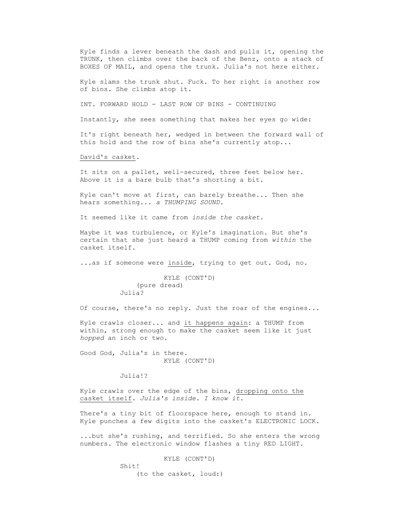Kyle finds a lever beneath the dash and pulls it, opening the TRUNK, then climbs over the back of the Benz, onto a stack of BOXES OF MAIL, and opens the trunk. Julia's not here either.

 Kyle slams the trunk shut. Fuck. To her right is another row of bins. She climbs atop it.

INT. FORWARD HOLD - LAST ROW OF BINS - CONTINUING

Instantly, she sees something that makes her eyes go wide:

 It's right beneath her, wedged in between the forward wall of this hold and the row of bins she's currently atop...

David's casket.

It sits on a pallet, well-secured, three feet below her. Above it is a bare bulb that's shorting a bit.

 Kyle can't move at first, can barely breathe... Then she hears something... *a THUMPING SOUND.*

It seemed like it came from *inside the casket.*

 Maybe it was turbulence, or Kyle's imagination. But she's certain that she just heard a THUMP coming from *within* the casket itself.

...as if someone were inside, trying to get out. God, no.

 KYLE (CONT'D) (pure dread) Julia?

Of course, there's no reply. Just the roar of the engines...

 Kyle crawls closer... and it happens again: a THUMP from within, strong enough to make the casket seem like it just *hopped* an inch or two.

 Good God, Julia's in there. KYLE (CONT'D)

Julia!?

 Kyle crawls over the edge of the bins, dropping onto the casket itself. *Julia's inside. I know it.*

 There's a tiny bit of floorspace here, enough to stand in. Kyle punches a few digits into the casket's ELECTRONIC LOCK.

 ...but she's rushing, and terrified. So she enters the wrong numbers. The electronic window flashes a tiny RED LIGHT.

KYLE (CONT'D)

Shit!

(to the casket, loud:)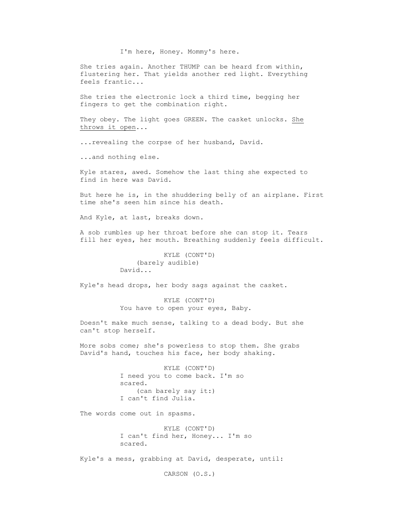I'm here, Honey. Mommy's here.

 She tries again. Another THUMP can be heard from within, flustering her. That yields another red light. Everything feels frantic...

 She tries the electronic lock a third time, begging her fingers to get the combination right.

 They obey. The light goes GREEN. The casket unlocks. She throws it open...

...revealing the corpse of her husband, David.

...and nothing else.

 Kyle stares, awed. Somehow the last thing she expected to find in here was David.

 But here he is, in the shuddering belly of an airplane. First time she's seen him since his death.

And Kyle, at last, breaks down.

 A sob rumbles up her throat before she can stop it. Tears fill her eyes, her mouth. Breathing suddenly feels difficult.

> KYLE (CONT'D) (barely audible) David...

Kyle's head drops, her body sags against the casket.

 KYLE (CONT'D) You have to open your eyes, Baby.

 Doesn't make much sense, talking to a dead body. But she can't stop herself.

 More sobs come; she's powerless to stop them. She grabs David's hand, touches his face, her body shaking.

> KYLE (CONT'D) I need you to come back. I'm so scared. (can barely say it:) I can't find Julia.

The words come out in spasms.

 KYLE (CONT'D) I can't find her, Honey... I'm so scared.

Kyle's a mess, grabbing at David, desperate, until:

CARSON (O.S.)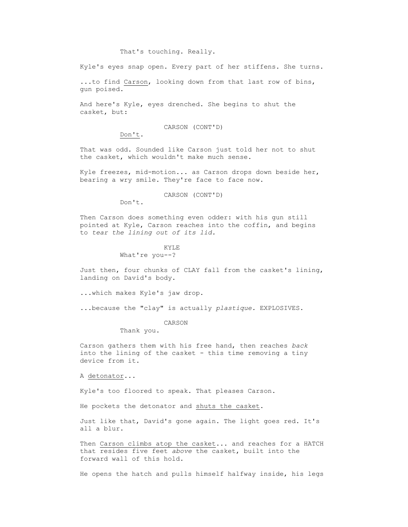# That's touching. Really.

Kyle's eyes snap open. Every part of her stiffens. She turns.

 ...to find Carson, looking down from that last row of bins, gun poised.

 And here's Kyle, eyes drenched. She begins to shut the casket, but:

CARSON (CONT'D)

Don't.

 That was odd. Sounded like Carson just told her not to shut the casket, which wouldn't make much sense.

 Kyle freezes, mid-motion... as Carson drops down beside her, bearing a wry smile. They're face to face now.

CARSON (CONT'D)

Don't.

 Then Carson does something even odder: with his gun still pointed at Kyle, Carson reaches into the coffin, and begins to *tear the lining out of its lid.*

# **KYLE**

What're you--?

 Just then, four chunks of CLAY fall from the casket's lining, landing on David's body.

...which makes Kyle's jaw drop.

...because the "clay" is actually *plastique.* EXPLOSIVES.

CARSON

Thank you.

 Carson gathers them with his free hand, then reaches *back* into the lining of the casket - this time removing a tiny device from it.

A detonator...

Kyle's too floored to speak. That pleases Carson.

He pockets the detonator and shuts the casket.

 Just like that, David's gone again. The light goes red. It's all a blur.

Then Carson climbs atop the casket... and reaches for a HATCH that resides five feet *above* the casket, built into the forward wall of this hold.

He opens the hatch and pulls himself halfway inside, his legs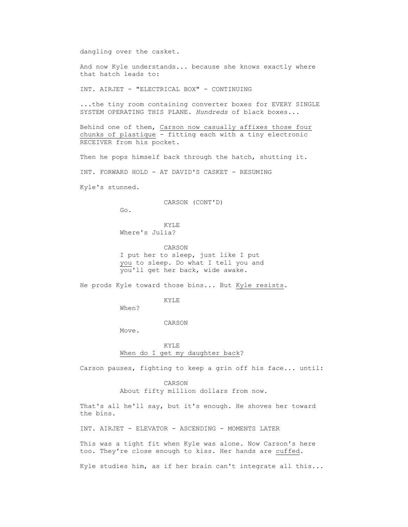dangling over the casket.

 And now Kyle understands... because she knows exactly where that hatch leads to:

INT. AIRJET - "ELECTRICAL BOX" - CONTINUING

 ...the tiny room containing converter boxes for EVERY SINGLE SYSTEM OPERATING THIS PLANE. *Hundreds* of black boxes...

 Behind one of them, Carson now casually affixes those four chunks of plastique - fitting each with a tiny electronic RECEIVER from his pocket.

Then he pops himself back through the hatch, shutting it.

INT. FORWARD HOLD - AT DAVID'S CASKET - RESUMING

Kyle's stunned.

CARSON (CONT'D)

Go.

 KYLE Where's Julia?

 CARSON I put her to sleep, just like I put you to sleep. Do what I tell you and you'll get her back, wide awake.

He prods Kyle toward those bins... But Kyle resists.

KYLE

When?

CARSON

Move.

**KYLE** When do I get my daughter back?

Carson pauses, fighting to keep a grin off his face... until:

 CARSON About fifty million dollars from now.

 That's all he'll say, but it's enough. He shoves her toward the bins.

INT. AIRJET - ELEVATOR - ASCENDING - MOMENTS LATER

 This was a tight fit when Kyle was alone. Now Carson's here too. They're close enough to kiss. Her hands are cuffed.

Kyle studies him, as if her brain can't integrate all this...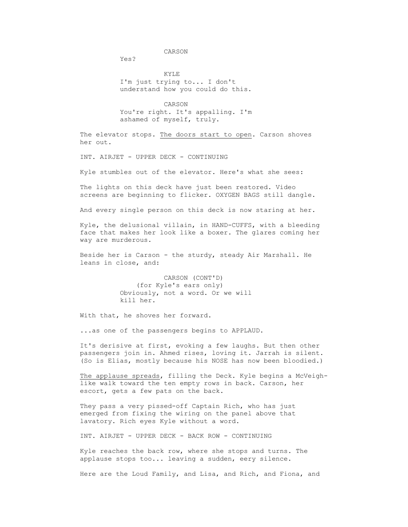CARSON

 $Y \subseteq S$ 

 KYLE I'm just trying to... I don't understand how you could do this.

 CARSON You're right. It's appalling. I'm ashamed of myself, truly.

 The elevator stops. The doors start to open. Carson shoves her out.

INT. AIRJET - UPPER DECK - CONTINUING

Kyle stumbles out of the elevator. Here's what she sees:

 The lights on this deck have just been restored. Video screens are beginning to flicker. OXYGEN BAGS still dangle.

And every single person on this deck is now staring at her.

 Kyle, the delusional villain, in HAND-CUFFS, with a bleeding face that makes her look like a boxer. The glares coming her way are murderous.

 Beside her is Carson - the sturdy, steady Air Marshall. He leans in close, and:

> CARSON (CONT'D) (for Kyle's ears only) Obviously, not a word. Or we will kill her.

With that, he shoves her forward.

...as one of the passengers begins to APPLAUD.

 It's derisive at first, evoking a few laughs. But then other passengers join in. Ahmed rises, loving it. Jarrah is silent. (So is Elias, mostly because his NOSE has now been bloodied.)

The applause spreads, filling the Deck. Kyle begins a McVeigh like walk toward the ten empty rows in back. Carson, her escort, gets a few pats on the back.

They pass a very pissed-off Captain Rich, who has just emerged from fixing the wiring on the panel above that lavatory. Rich eyes Kyle without a word.

INT. AIRJET - UPPER DECK - BACK ROW - CONTINUING

 Kyle reaches the back row, where she stops and turns. The applause stops too... leaving a sudden, eery silence.

Here are the Loud Family, and Lisa, and Rich, and Fiona, and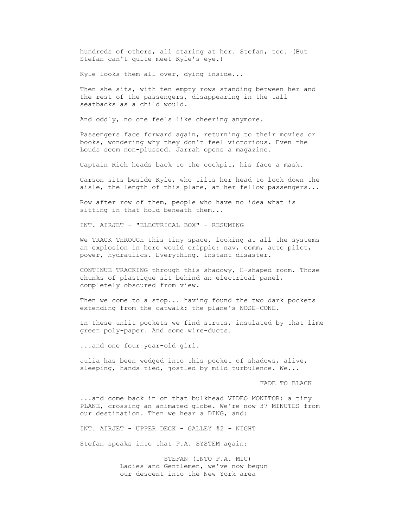hundreds of others, all staring at her. Stefan, too. (But Stefan can't quite meet Kyle's eye.)

Kyle looks them all over, dying inside...

Then she sits, with ten empty rows standing between her and the rest of the passengers, disappearing in the tall seatbacks as a child would.

And oddly, no one feels like cheering anymore.

 Passengers face forward again, returning to their movies or books, wondering why they don't feel victorious. Even the Louds seem non-plussed. Jarrah opens a magazine.

Captain Rich heads back to the cockpit, his face a mask.

 Carson sits beside Kyle, who tilts her head to look down the aisle, the length of this plane, at her fellow passengers...

 Row after row of them, people who have no idea what is sitting in that hold beneath them...

INT. AIRJET - "ELECTRICAL BOX" - RESUMING

We TRACK THROUGH this tiny space, looking at all the systems an explosion in here would cripple: nav, comm, auto pilot, power, hydraulics. Everything. Instant disaster.

 CONTINUE TRACKING through this shadowy, H-shaped room. Those chunks of plastique sit behind an electrical panel, completely obscured from view.

Then we come to a stop... having found the two dark pockets extending from the catwalk: the plane's NOSE-CONE.

 In these unlit pockets we find struts, insulated by that lime green poly-paper. And some wire-ducts.

...and one four year-old girl.

 Julia has been wedged into this pocket of shadows, alive, sleeping, hands tied, jostled by mild turbulence. We...

FADE TO BLACK

 ...and come back in on that bulkhead VIDEO MONITOR: a tiny PLANE, crossing an animated globe. We're now 37 MINUTES from our destination. Then we hear a DING, and:

INT. AIRJET - UPPER DECK - GALLEY #2 - NIGHT

Stefan speaks into that P.A. SYSTEM again:

 STEFAN (INTO P.A. MIC) Ladies and Gentlemen, we've now begun our descent into the New York area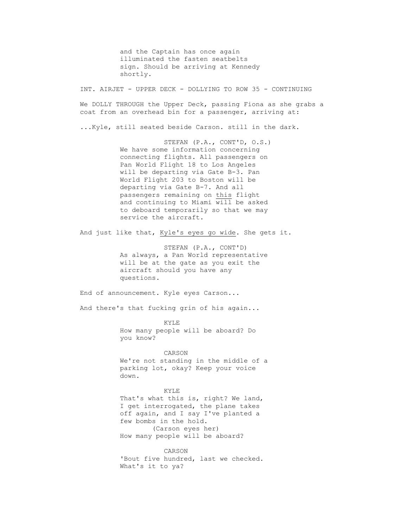and the Captain has once again illuminated the fasten seatbelts sign. Should be arriving at Kennedy shortly.

INT. AIRJET - UPPER DECK - DOLLYING TO ROW 35 - CONTINUING

We DOLLY THROUGH the Upper Deck, passing Fiona as she grabs a coat from an overhead bin for a passenger, arriving at:

...Kyle, still seated beside Carson. still in the dark.

 STEFAN (P.A., CONT'D, O.S.) We have some information concerning connecting flights. All passengers on Pan World Flight 18 to Los Angeles will be departing via Gate B-3. Pan World Flight 203 to Boston will be departing via Gate B-7. And all passengers remaining on this flight and continuing to Miami will be asked to deboard temporarily so that we may service the aircraft.

And just like that, Kyle's eyes go wide. She gets it.

 STEFAN (P.A., CONT'D) As always, a Pan World representative will be at the gate as you exit the aircraft should you have any questions.

End of announcement. Kyle eyes Carson...

And there's that fucking grin of his again...

**KYLE**  How many people will be aboard? Do you know?

> CARSON We're not standing in the middle of a parking lot, okay? Keep your voice down.

 KYLE That's what this is, right? We land, I get interrogated, the plane takes off again, and I say I've planted a few bombs in the hold. (Carson eyes her) How many people will be aboard?

 CARSON 'Bout five hundred, last we checked. What's it to ya?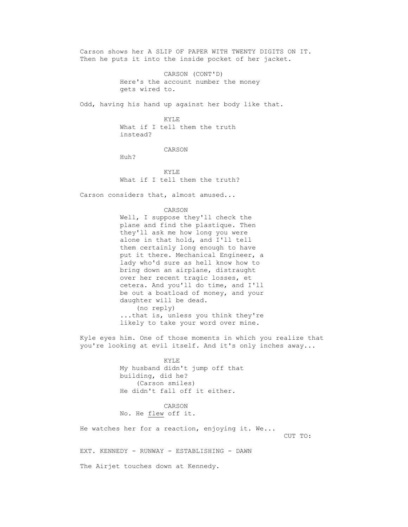Carson shows her A SLIP OF PAPER WITH TWENTY DIGITS ON IT. Then he puts it into the inside pocket of her jacket.

> CARSON (CONT'D) Here's the account number the money gets wired to.

Odd, having his hand up against her body like that.

 KYLE What if I tell them the truth instead?

CARSON

Huh?

 KYLE What if I tell them the truth?

Carson considers that, almost amused...

CARSON

 Well, I suppose they'll check the plane and find the plastique. Then they'll ask me how long you were alone in that hold, and I'll tell them certainly long enough to have put it there. Mechanical Engineer, a lady who'd sure as hell know how to bring down an airplane, distraught over her recent tragic losses, et cetera. And you'll do time, and I'll be out a boatload of money, and your daughter will be dead. (no reply) ...that is, unless you think they're likely to take your word over mine.

 Kyle eyes him. One of those moments in which you realize that you're looking at evil itself. And it's only inches away...

> KYLE My husband didn't jump off that building, did he? (Carson smiles) He didn't fall off it either.

 CARSON No. He flew off it.

He watches her for a reaction, enjoying it. We...

CUT TO:

EXT. KENNEDY - RUNWAY - ESTABLISHING - DAWN

The Airjet touches down at Kennedy.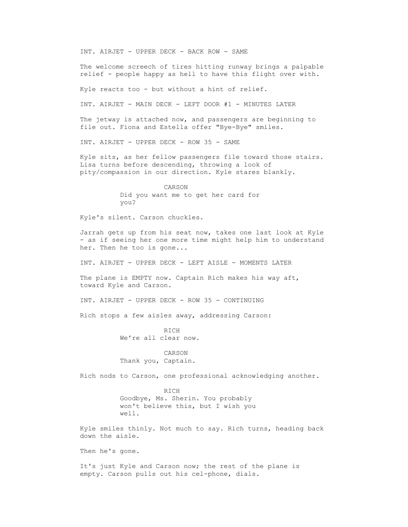INT. AIRJET - UPPER DECK - BACK ROW - SAME

 The welcome screech of tires hitting runway brings a palpable relief - people happy as hell to have this flight over with.

Kyle reacts too - but without a hint of relief.

INT. AIRJET - MAIN DECK - LEFT DOOR #1 - MINUTES LATER

 The jetway is attached now, and passengers are beginning to file out. Fiona and Estella offer "Bye-Bye" smiles.

INT. AIRJET - UPPER DECK - ROW 35 - SAME

 Kyle sits, as her fellow passengers file toward those stairs. Lisa turns before descending, throwing a look of pity/compassion in our direction. Kyle stares blankly.

> CARSON Did you want me to get her card for you?

Kyle's silent. Carson chuckles.

 Jarrah gets up from his seat now, takes one last look at Kyle - as if seeing her one more time might help him to understand her. Then he too is gone...

INT. AIRJET - UPPER DECK - LEFT AISLE - MOMENTS LATER

The plane is EMPTY now. Captain Rich makes his way aft, toward Kyle and Carson.

INT. AIRJET - UPPER DECK - ROW 35 - CONTINUING

Rich stops a few aisles away, addressing Carson:

 RICH We're all clear now.

 CARSON Thank you, Captain.

Rich nods to Carson, one professional acknowledging another.

 RICH Goodbye, Ms. Sherin. You probably won't believe this, but I wish you well.

 Kyle smiles thinly. Not much to say. Rich turns, heading back down the aisle.

Then he's gone.

 It's just Kyle and Carson now; the rest of the plane is empty. Carson pulls out his cel-phone, dials.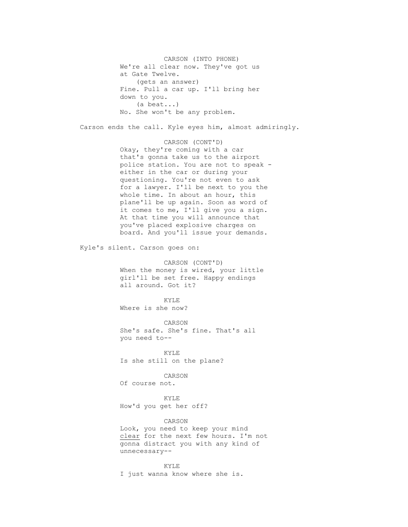CARSON (INTO PHONE) We're all clear now. They've got us at Gate Twelve. (gets an answer) Fine. Pull a car up. I'll bring her down to you. (a beat...) No. She won't be any problem.

Carson ends the call. Kyle eyes him, almost admiringly.

 CARSON (CONT'D) Okay, they're coming with a car that's gonna take us to the airport police station. You are not to speak either in the car or during your questioning. You're not even to ask for a lawyer. I'll be next to you the whole time. In about an hour, this plane'll be up again. Soon as word of it comes to me, I'll give you a sign. At that time you will announce that you've placed explosive charges on board. And you'll issue your demands.

Kyle's silent. Carson goes on:

 CARSON (CONT'D) When the money is wired, your little girl'll be set free. Happy endings all around. Got it?

 KYLE Where is she now?

 CARSON She's safe. She's fine. That's all you need to--

 KYLE Is she still on the plane?

 CARSON Of course not.

 KYLE How'd you get her off?

 CARSON Look, you need to keep your mind clear for the next few hours. I'm not gonna distract you with any kind of unnecessary--

 KYLE I just wanna know where she is.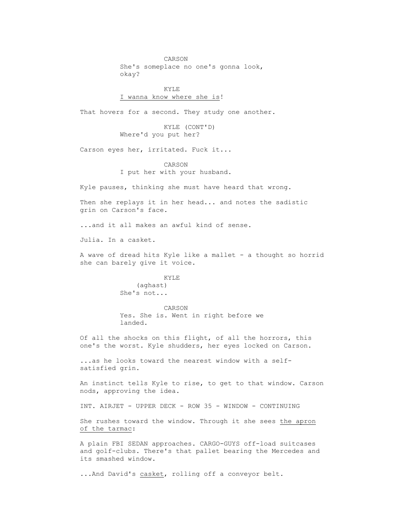CARSON She's someplace no one's gonna look, okay?

 KYLE I wanna know where she is!

That hovers for a second. They study one another.

 KYLE (CONT'D) Where'd you put her?

Carson eyes her, irritated. Fuck it...

 CARSON I put her with your husband.

Kyle pauses, thinking she must have heard that wrong.

 Then she replays it in her head... and notes the sadistic grin on Carson's face.

...and it all makes an awful kind of sense.

Julia. In a casket.

 A wave of dread hits Kyle like a mallet - a thought so horrid she can barely give it voice.

> KYLE (aghast) She's not...

 CARSON Yes. She is. Went in right before we landed.

 Of all the shocks on this flight, of all the horrors, this one's the worst. Kyle shudders, her eyes locked on Carson.

 ...as he looks toward the nearest window with a self satisfied grin.

 An instinct tells Kyle to rise, to get to that window. Carson nods, approving the idea.

INT. AIRJET - UPPER DECK - ROW 35 - WINDOW - CONTINUING

 She rushes toward the window. Through it she sees the apron of the tarmac:

 A plain FBI SEDAN approaches. CARGO-GUYS off-load suitcases and golf-clubs. There's that pallet bearing the Mercedes and its smashed window.

...And David's casket, rolling off a conveyor belt.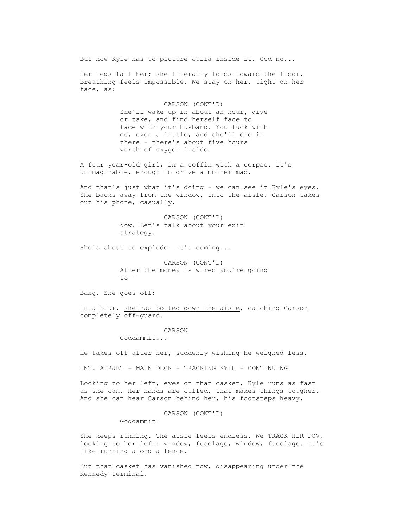But now Kyle has to picture Julia inside it. God no...

Her legs fail her; she literally folds toward the floor. Breathing feels impossible. We stay on her, tight on her face, as:

> CARSON (CONT'D) She'll wake up in about an hour, give or take, and find herself face to face with your husband. You fuck with me, even a little, and she'll die in there - there's about five hours worth of oxygen inside.

 A four year-old girl, in a coffin with a corpse. It's unimaginable, enough to drive a mother mad.

 And that's just what it's doing - we can see it Kyle's eyes. She backs away from the window, into the aisle. Carson takes out his phone, casually.

> CARSON (CONT'D) Now. Let's talk about your exit strategy.

She's about to explode. It's coming...

 CARSON (CONT'D) After the money is wired you're going  $to--$ 

Bang. She goes off:

 In a blur, she has bolted down the aisle, catching Carson completely off-guard.

CARSON

Goddammit...

He takes off after her, suddenly wishing he weighed less.

INT. AIRJET - MAIN DECK - TRACKING KYLE - CONTINUING

 Looking to her left, eyes on that casket, Kyle runs as fast as she can. Her hands are cuffed, that makes things tougher. And she can hear Carson behind her, his footsteps heavy.

CARSON (CONT'D)

Goddammit!

 She keeps running. The aisle feels endless. We TRACK HER POV, looking to her left: window, fuselage, window, fuselage. It's like running along a fence.

 But that casket has vanished now, disappearing under the Kennedy terminal.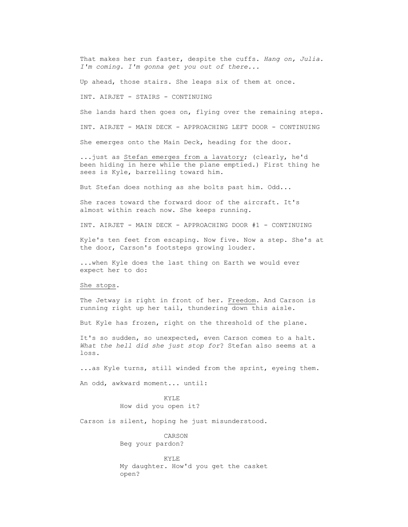That makes her run faster, despite the cuffs. *Hang on, Julia. I'm coming. I'm gonna get you out of there...*

Up ahead, those stairs. She leaps six of them at once.

INT. AIRJET - STAIRS - CONTINUING

 She lands hard then goes on, flying over the remaining steps. INT. AIRJET - MAIN DECK - APPROACHING LEFT DOOR - CONTINUING

She emerges onto the Main Deck, heading for the door.

 ...just as Stefan emerges from a lavatory; (clearly, he'd been hiding in here while the plane emptied.) First thing he sees is Kyle, barrelling toward him.

But Stefan does nothing as she bolts past him. Odd...

 She races toward the forward door of the aircraft. It's almost within reach now. She keeps running.

INT. AIRJET - MAIN DECK - APPROACHING DOOR #1 - CONTINUING

 Kyle's ten feet from escaping. Now five. Now a step. She's at the door, Carson's footsteps growing louder.

 ...when Kyle does the last thing on Earth we would ever expect her to do:

## She stops.

 The Jetway is right in front of her. Freedom. And Carson is running right up her tail, thundering down this aisle.

But Kyle has frozen, right on the threshold of the plane.

 It's so sudden, so unexpected, even Carson comes to a halt. *What the hell did she just stop for*? Stefan also seems at a loss.

...as Kyle turns, still winded from the sprint, eyeing them.

An odd, awkward moment... until:

 KYLE How did you open it?

Carson is silent, hoping he just misunderstood.

 CARSON Beg your pardon?

**KYLE**  My daughter. How'd you get the casket open?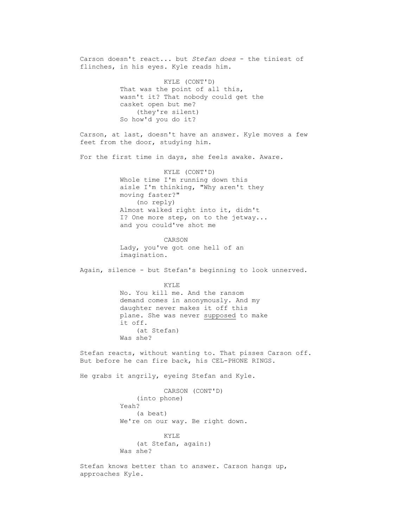Carson doesn't react... but *Stefan does* - the tiniest of flinches, in his eyes. Kyle reads him. KYLE (CONT'D) That was the point of all this, wasn't it? That nobody could get the casket open but me? (they're silent) So how'd you do it? Carson, at last, doesn't have an answer. Kyle moves a few feet from the door, studying him. For the first time in days, she feels awake. Aware. KYLE (CONT'D) Whole time I'm running down this aisle I'm thinking, "Why aren't they moving faster?" (no reply) Almost walked right into it, didn't I? One more step, on to the jetway... and you could've shot me CARSON Lady, you've got one hell of an imagination. Again, silence - but Stefan's beginning to look unnerved. KYLE No. You kill me. And the ransom demand comes in anonymously. And my daughter never makes it off this plane. She was never supposed to make it off. (at Stefan) Was she? Stefan reacts, without wanting to. That pisses Carson off. But before he can fire back, his CEL-PHONE RINGS. He grabs it angrily, eyeing Stefan and Kyle. CARSON (CONT'D) (into phone) Yeah? (a beat) We're on our way. Be right down. KYLE (at Stefan, again:) Was she? Stefan knows better than to answer. Carson hangs up,

approaches Kyle.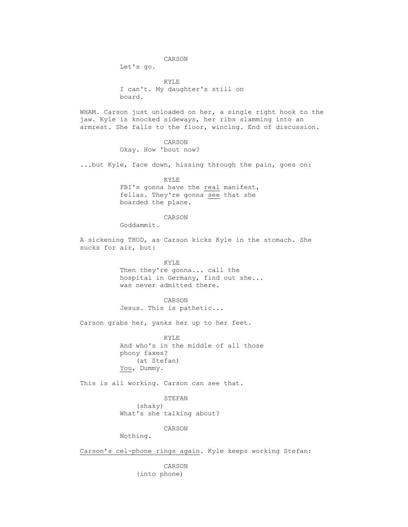CARSON

Let's go.

 KYLE I can't. My daughter's still on board.

 WHAM. Carson just unloaded on her, a single right hook to the jaw. Kyle is knocked sideways, her ribs slamming into an armrest. She falls to the floor, wincing. End of discussion.

CARSON

Okay. How 'bout now?

...but Kyle, face down, hissing through the pain, goes on:

 KYLE FBI's gonna have the real manifest, fellas. They're gonna see that she boarded the plane.

## CARSON

Goddammit.

 A sickening THUD, as Carson kicks Kyle in the stomach. She sucks for air, but:

> KYLE Then they're gonna... call the hospital in Germany, find out she... was never admitted there.

 CARSON Jesus. This is pathetic...

Carson grabs her, yanks her up to her feet.

 KYLE And who's in the middle of all those phony faxes? (at Stefan) You, Dummy.

This is all working. Carson can see that.

 STEFAN (shaky) What's she talking about?

CARSON

Nothing.

Carson's cel-phone rings again. Kyle keeps working Stefan:

 CARSON (into phone)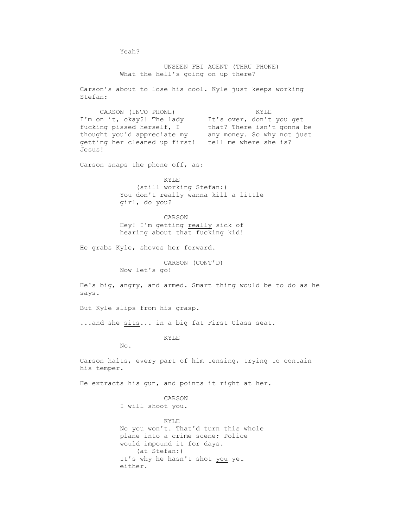Yeah? UNSEEN FBI AGENT (THRU PHONE) What the hell's going on up there? Carson's about to lose his cool. Kyle just keeps working Stefan: CARSON (INTO PHONE) KYLE I'm on it, okay?! The lady It's over, don't you get fucking pissed herself, I that? There isn't gonna be thought you'd appreciate my any money. So why not just getting her cleaned up first! tell me where she is? Jesus! Carson snaps the phone off, as: KYLE (still working Stefan:) You don't really wanna kill a little girl, do you? CARSON Hey! I'm getting really sick of hearing about that fucking kid! He grabs Kyle, shoves her forward. CARSON (CONT'D) Now let's go! He's big, angry, and armed. Smart thing would be to do as he says. But Kyle slips from his grasp. ...and she sits... in a big fat First Class seat. KYLE No. Carson halts, every part of him tensing, trying to contain his temper. He extracts his gun, and points it right at her. CARSON I will shoot you. KYLE No you won't. That'd turn this whole plane into a crime scene; Police would impound it for days. (at Stefan:) It's why he hasn't shot you yet

either.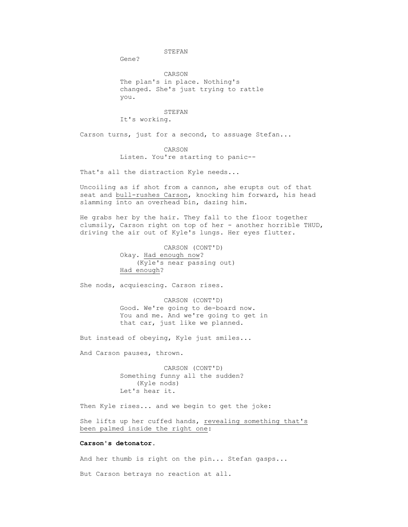STEFAN

Gene?

 CARSON The plan's in place. Nothing's changed. She's just trying to rattle you.

 STEFAN It's working.

Carson turns, just for a second, to assuage Stefan...

CARSON

Listen. You're starting to panic--

That's all the distraction Kyle needs...

 Uncoiling as if shot from a cannon, she erupts out of that seat and bull-rushes Carson, knocking him forward, his head slamming into an overhead bin, dazing him.

 He grabs her by the hair. They fall to the floor together clumsily, Carson right on top of her - another horrible THUD, driving the air out of Kyle's lungs. Her eyes flutter.

> CARSON (CONT'D) Okay. Had enough now? (Kyle's near passing out) Had enough?

She nods, acquiescing. Carson rises.

 CARSON (CONT'D) Good. We're going to de-board now. You and me. And we're going to get in that car, just like we planned.

But instead of obeying, Kyle just smiles...

And Carson pauses, thrown.

 CARSON (CONT'D) Something funny all the sudden? (Kyle nods) Let's hear it.

Then Kyle rises... and we begin to get the joke:

 She lifts up her cuffed hands, revealing something that's been palmed inside the right one:

## **Carson's detonator**.

And her thumb is right on the pin... Stefan gasps...

But Carson betrays no reaction at all.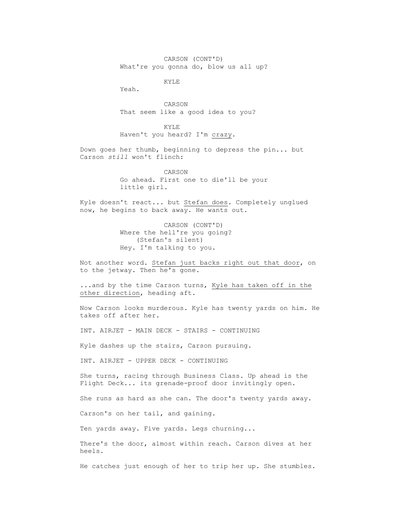CARSON (CONT'D) What're you gonna do, blow us all up?

KYLE

Yeah.

 CARSON That seem like a good idea to you?

 KYLE Haven't you heard? I'm crazy.

 Down goes her thumb, beginning to depress the pin... but Carson *still* won't flinch:

> CARSON Go ahead. First one to die'll be your little girl.

 Kyle doesn't react... but Stefan does. Completely unglued now, he begins to back away. He wants out.

> CARSON (CONT'D) Where the hell're you going? (Stefan's silent) Hey. I'm talking to you.

 Not another word. Stefan just backs right out that door, on to the jetway. Then he's gone.

...and by the time Carson turns, Kyle has taken off in the other direction, heading aft.

 Now Carson looks murderous. Kyle has twenty yards on him. He takes off after her.

INT. AIRJET - MAIN DECK - STAIRS - CONTINUING

Kyle dashes up the stairs, Carson pursuing.

INT. AIRJET - UPPER DECK - CONTINUING

 She turns, racing through Business Class. Up ahead is the Flight Deck... its grenade-proof door invitingly open.

She runs as hard as she can. The door's twenty yards away.

Carson's on her tail, and gaining.

Ten yards away. Five yards. Legs churning...

 There's the door, almost within reach. Carson dives at her heels.

He catches just enough of her to trip her up. She stumbles.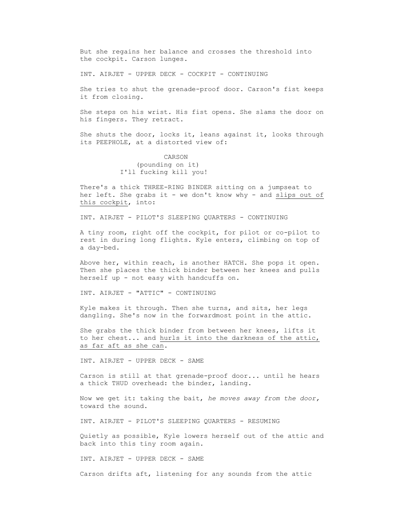But she regains her balance and crosses the threshold into the cockpit. Carson lunges.

INT. AIRJET - UPPER DECK - COCKPIT - CONTINUING

 She tries to shut the grenade-proof door. Carson's fist keeps it from closing.

 She steps on his wrist. His fist opens. She slams the door on his fingers. They retract.

 She shuts the door, locks it, leans against it, looks through its PEEPHOLE, at a distorted view of:

## CARSON (pounding on it) I'll fucking kill you!

 There's a thick THREE-RING BINDER sitting on a jumpseat to her left. She grabs it - we don't know why - and slips out of this cockpit, into:

INT. AIRJET - PILOT'S SLEEPING QUARTERS - CONTINUING

 A tiny room, right off the cockpit, for pilot or co-pilot to rest in during long flights. Kyle enters, climbing on top of a day-bed.

 Above her, within reach, is another HATCH. She pops it open. Then she places the thick binder between her knees and pulls herself up - not easy with handcuffs on.

INT. AIRJET - "ATTIC" - CONTINUING

 Kyle makes it through. Then she turns, and sits, her legs dangling. She's now in the forwardmost point in the attic.

 She grabs the thick binder from between her knees, lifts it to her chest... and hurls it into the darkness of the attic, as far aft as she can.

INT. AIRJET - UPPER DECK - SAME

 Carson is still at that grenade-proof door... until he hears a thick THUD overhead: the binder, landing.

 Now we get it: taking the bait, *he moves away from the door,* toward the sound.

INT. AIRJET - PILOT'S SLEEPING QUARTERS - RESUMING

 Quietly as possible, Kyle lowers herself out of the attic and back into this tiny room again.

INT. AIRJET - UPPER DECK - SAME

Carson drifts aft, listening for any sounds from the attic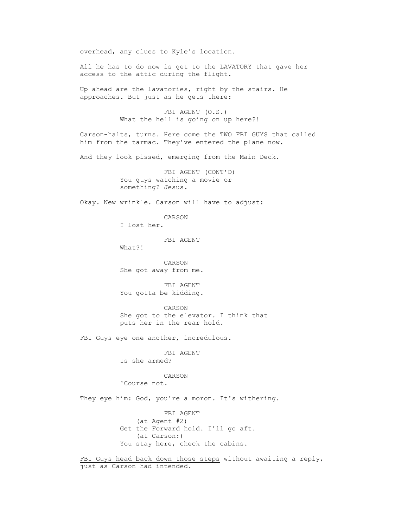overhead, any clues to Kyle's location.

 All he has to do now is get to the LAVATORY that gave her access to the attic during the flight.

 Up ahead are the lavatories, right by the stairs. He approaches. But just as he gets there:

> FBI AGENT (O.S.) What the hell is going on up here?!

 Carson-halts, turns. Here come the TWO FBI GUYS that called him from the tarmac. They've entered the plane now.

And they look pissed, emerging from the Main Deck.

 FBI AGENT (CONT'D) You guys watching a movie or something? Jesus.

Okay. New wrinkle. Carson will have to adjust:

CARSON

I lost her.

FBI AGENT

What?!

 CARSON She got away from me.

 FBI AGENT You gotta be kidding.

 CARSON She got to the elevator. I think that puts her in the rear hold.

FBI Guys eye one another, incredulous.

 FBI AGENT Is she armed?

 CARSON 'Course not.

They eye him: God, you're a moron. It's withering.

 FBI AGENT (at Agent #2) Get the Forward hold. I'll go aft. (at Carson:) You stay here, check the cabins.

FBI Guys head back down those steps without awaiting a reply, just as Carson had intended.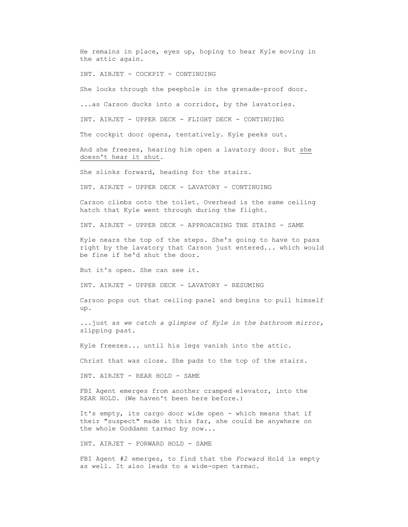He remains in place, eyes up, hoping to hear Kyle moving in the attic again.

INT. AIRJET - COCKPIT - CONTINUING

She looks through the peephole in the grenade-proof door.

...as Carson ducks into a corridor, by the lavatories.

INT. AIRJET - UPPER DECK - FLIGHT DECK - CONTINUING

The cockpit door opens, tentatively. Kyle peeks out.

 And she freezes, hearing him open a lavatory door. But she doesn't hear it shut.

She slinks forward, heading for the stairs.

INT. AIRJET - UPPER DECK - LAVATORY - CONTINUING

 Carson climbs onto the toilet. Overhead is the same ceiling hatch that Kyle went through during the flight.

INT. AIRJET - UPPER DECK - APPROACHING THE STAIRS - SAME

 Kyle nears the top of the steps. She's going to have to pass right by the lavatory that Carson just entered... which would be fine if he'd shut the door.

But it's open. She can see it.

INT. AIRJET - UPPER DECK - LAVATORY - RESUMING

 Carson pops out that ceiling panel and begins to pull himself up.

 ...just as *we catch a glimpse of Kyle in the bathroom mirror,* slipping past.

Kyle freezes... until his legs vanish into the attic.

Christ that was close. She pads to the top of the stairs.

INT. AIRJET - REAR HOLD - SAME

FBI Agent emerges from another cramped elevator, into the REAR HOLD. (We haven't been here before.)

 It's empty, its cargo door wide open - which means that if their "suspect" made it this far, she could be anywhere on the whole Goddamn tarmac by now...

INT. AIRJET - FORWARD HOLD - SAME

 FBI Agent #2 emerges, to find that the *Forward* Hold is empty as well. It also leads to a wide-open tarmac.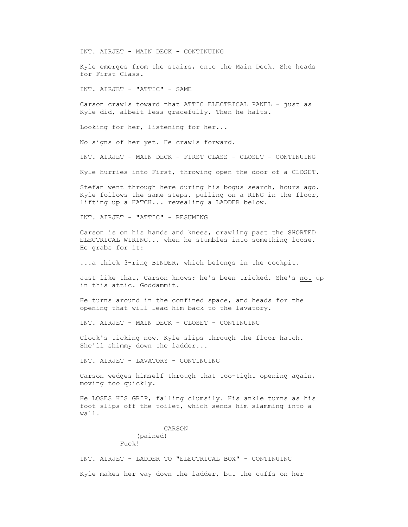INT. AIRJET - MAIN DECK - CONTINUING

 Kyle emerges from the stairs, onto the Main Deck. She heads for First Class.

INT. AIRJET - "ATTIC" - SAME

 Carson crawls toward that ATTIC ELECTRICAL PANEL - just as Kyle did, albeit less gracefully. Then he halts.

Looking for her, listening for her...

No signs of her yet. He crawls forward.

INT. AIRJET - MAIN DECK - FIRST CLASS - CLOSET - CONTINUING

Kyle hurries into First, throwing open the door of a CLOSET.

 Stefan went through here during his bogus search, hours ago. Kyle follows the same steps, pulling on a RING in the floor, lifting up a HATCH... revealing a LADDER below.

INT. AIRJET - "ATTIC" - RESUMING

 Carson is on his hands and knees, crawling past the SHORTED ELECTRICAL WIRING... when he stumbles into something loose. He grabs for it:

...a thick 3-ring BINDER, which belongs in the cockpit.

Just like that, Carson knows: he's been tricked. She's not up in this attic. Goddammit.

 He turns around in the confined space, and heads for the opening that will lead him back to the lavatory.

INT. AIRJET - MAIN DECK - CLOSET - CONTINUING

 Clock's ticking now. Kyle slips through the floor hatch. She'll shimmy down the ladder...

INT. AIRJET - LAVATORY - CONTINUING

 Carson wedges himself through that too-tight opening again, moving too quickly.

 He LOSES HIS GRIP, falling clumsily. His ankle turns as his foot slips off the toilet, which sends him slamming into a wall.

> CARSON (pained) Fuck!

 INT. AIRJET - LADDER TO "ELECTRICAL BOX" - CONTINUING Kyle makes her way down the ladder, but the cuffs on her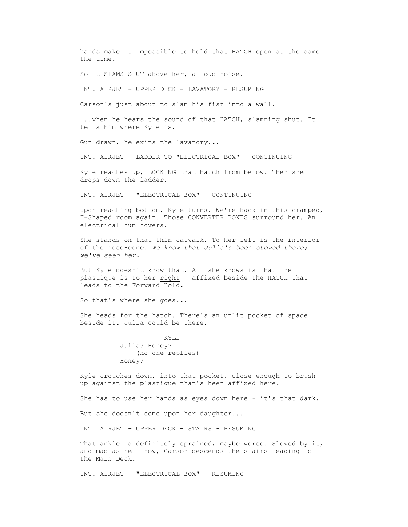hands make it impossible to hold that HATCH open at the same the time. So it SLAMS SHUT above her, a loud noise. INT. AIRJET - UPPER DECK - LAVATORY - RESUMING Carson's just about to slam his fist into a wall. ...when he hears the sound of that HATCH, slamming shut. It tells him where Kyle is. Gun drawn, he exits the lavatory... INT. AIRJET - LADDER TO "ELECTRICAL BOX" - CONTINUING Kyle reaches up, LOCKING that hatch from below. Then she drops down the ladder. INT. AIRJET - "ELECTRICAL BOX" - CONTINUING Upon reaching bottom, Kyle turns. We're back in this cramped, H-Shaped room again. Those CONVERTER BOXES surround her. An electrical hum hovers. She stands on that thin catwalk. To her left is the interior of the nose-cone. *We know that Julia's been stowed there; we've seen her.* But Kyle doesn't know that. All she knows is that the plastique is to her right - affixed beside the HATCH that leads to the Forward Hold. So that's where she goes... She heads for the hatch. There's an unlit pocket of space beside it. Julia could be there. KYLE

 Julia? Honey? (no one replies) Honey?

 Kyle crouches down, into that pocket, close enough to brush up against the plastique that's been affixed here.

She has to use her hands as eyes down here - it's that dark.

But she doesn't come upon her daughter...

INT. AIRJET - UPPER DECK - STAIRS - RESUMING

That ankle is definitely sprained, maybe worse. Slowed by it, and mad as hell now, Carson descends the stairs leading to the Main Deck.

INT. AIRJET - "ELECTRICAL BOX" - RESUMING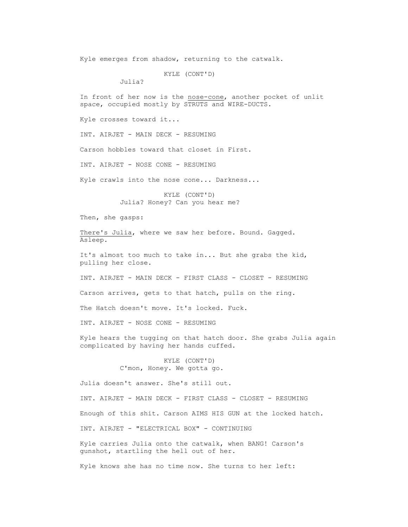Kyle emerges from shadow, returning to the catwalk.

```
 KYLE (CONT'D)
```
Julia?

 In front of her now is the nose-cone, another pocket of unlit space, occupied mostly by STRUTS and WIRE-DUCTS.

Kyle crosses toward it...

INT. AIRJET - MAIN DECK - RESUMING

Carson hobbles toward that closet in First.

INT. AIRJET - NOSE CONE - RESUMING

Kyle crawls into the nose cone... Darkness...

 KYLE (CONT'D) Julia? Honey? Can you hear me?

Then, she gasps:

There's Julia, where we saw her before. Bound. Gagged. Asleep.

 It's almost too much to take in... But she grabs the kid, pulling her close.

INT. AIRJET - MAIN DECK - FIRST CLASS - CLOSET - RESUMING

Carson arrives, gets to that hatch, pulls on the ring.

The Hatch doesn't move. It's locked. Fuck.

INT. AIRJET - NOSE CONE - RESUMING

 Kyle hears the tugging on that hatch door. She grabs Julia again complicated by having her hands cuffed.

> KYLE (CONT'D) C'mon, Honey. We gotta go.

Julia doesn't answer. She's still out.

 INT. AIRJET - MAIN DECK - FIRST CLASS - CLOSET - RESUMING Enough of this shit. Carson AIMS HIS GUN at the locked hatch. INT. AIRJET - "ELECTRICAL BOX" - CONTINUING Kyle carries Julia onto the catwalk, when BANG! Carson's gunshot, startling the hell out of her.

Kyle knows she has no time now. She turns to her left: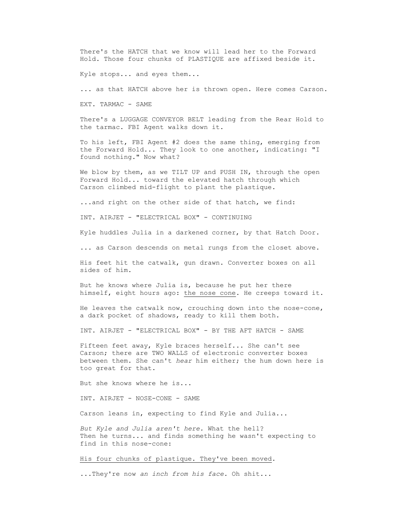There's the HATCH that we know will lead her to the Forward Hold. Those four chunks of PLASTIQUE are affixed beside it.

Kyle stops... and eyes them...

... as that HATCH above her is thrown open. Here comes Carson.

EXT. TARMAC - SAME

 There's a LUGGAGE CONVEYOR BELT leading from the Rear Hold to the tarmac. FBI Agent walks down it.

 To his left, FBI Agent #2 does the same thing, emerging from the Forward Hold... They look to one another, indicating: "I found nothing." Now what?

We blow by them, as we TILT UP and PUSH IN, through the open Forward Hold... toward the elevated hatch through which Carson climbed mid-flight to plant the plastique.

...and right on the other side of that hatch, we find:

INT. AIRJET - "ELECTRICAL BOX" - CONTINUING

Kyle huddles Julia in a darkened corner, by that Hatch Door.

... as Carson descends on metal rungs from the closet above.

 His feet hit the catwalk, gun drawn. Converter boxes on all sides of him.

 But he knows where Julia is, because he put her there himself, eight hours ago: the nose cone. He creeps toward it.

 He leaves the catwalk now, crouching down into the nose-cone, a dark pocket of shadows, ready to kill them both.

INT. AIRJET - "ELECTRICAL BOX" - BY THE AFT HATCH - SAME

 Fifteen feet away, Kyle braces herself... She can't see Carson; there are TWO WALLS of electronic converter boxes between them. She can't *hear* him either; the hum down here is too great for that.

But she knows where he is...

INT. AIRJET - NOSE-CONE - SAME

Carson leans in, expecting to find Kyle and Julia...

 *But Kyle and Julia aren't here.* What the hell? Then he turns... and finds something he wasn't expecting to find in this nose-cone:

His four chunks of plastique. They've been moved.

...They're now *an inch from his face.* Oh shit...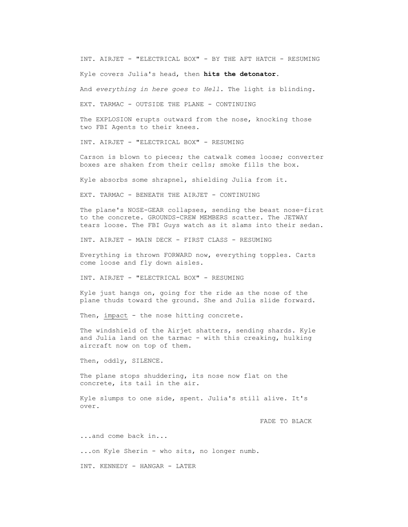INT. AIRJET - "ELECTRICAL BOX" - BY THE AFT HATCH - RESUMING

Kyle covers Julia's head, then **hits the detonator**.

And *everything in here goes to Hell.* The light is blinding.

EXT. TARMAC - OUTSIDE THE PLANE - CONTINUING

 The EXPLOSION erupts outward from the nose, knocking those two FBI Agents to their knees.

INT. AIRJET - "ELECTRICAL BOX" - RESUMING

 Carson is blown to pieces; the catwalk comes loose; converter boxes are shaken from their cells; smoke fills the box.

Kyle absorbs some shrapnel, shielding Julia from it.

EXT. TARMAC - BENEATH THE AIRJET - CONTINUING

 The plane's NOSE-GEAR collapses, sending the beast nose-first to the concrete. GROUNDS-CREW MEMBERS scatter. The JETWAY tears loose. The FBI Guys watch as it slams into their sedan.

INT. AIRJET - MAIN DECK - FIRST CLASS - RESUMING

 Everything is thrown FORWARD now, everything topples. Carts come loose and fly down aisles.

INT. AIRJET - "ELECTRICAL BOX" - RESUMING

 Kyle just hangs on, going for the ride as the nose of the plane thuds toward the ground. She and Julia slide forward.

Then, impact - the nose hitting concrete.

 The windshield of the Airjet shatters, sending shards. Kyle and Julia land on the tarmac - with this creaking, hulking aircraft now on top of them.

Then, oddly, SILENCE.

The plane stops shuddering, its nose now flat on the concrete, its tail in the air.

 Kyle slumps to one side, spent. Julia's still alive. It's over.

FADE TO BLACK

 ...and come back in... ...on Kyle Sherin - who sits, no longer numb. INT. KENNEDY - HANGAR - LATER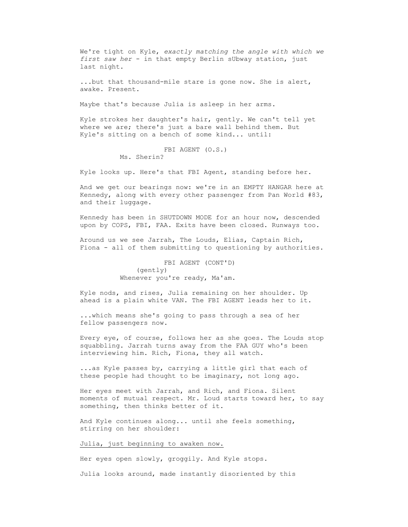We're tight on Kyle, *exactly matching the angle with which we first saw her* - in that empty Berlin sUbway station, just last night.

 ...but that thousand-mile stare is gone now. She is alert, awake. Present.

Maybe that's because Julia is asleep in her arms.

 Kyle strokes her daughter's hair, gently. We can't tell yet where we are; there's just a bare wall behind them. But Kyle's sitting on a bench of some kind... until:

> FBI AGENT (O.S.) Ms. Sherin?

Kyle looks up. Here's that FBI Agent, standing before her.

 And we get our bearings now: we're in an EMPTY HANGAR here at Kennedy, along with every other passenger from Pan World #83, and their luggage.

 Kennedy has been in SHUTDOWN MODE for an hour now, descended upon by COPS, FBI, FAA. Exits have been closed. Runways too.

 Around us we see Jarrah, The Louds, Elias, Captain Rich, Fiona - all of them submitting to questioning by authorities.

> FBI AGENT (CONT'D) (gently) Whenever you're ready, Ma'am.

 Kyle nods, and rises, Julia remaining on her shoulder. Up ahead is a plain white VAN. The FBI AGENT leads her to it.

 ...which means she's going to pass through a sea of her fellow passengers now.

 Every eye, of course, follows her as she goes. The Louds stop squabbling. Jarrah turns away from the FAA GUY who's been interviewing him. Rich, Fiona, they all watch.

 ...as Kyle passes by, carrying a little girl that each of these people had thought to be imaginary, not long ago.

 Her eyes meet with Jarrah, and Rich, and Fiona. Silent moments of mutual respect. Mr. Loud starts toward her, to say something, then thinks better of it.

 And Kyle continues along... until she feels something, stirring on her shoulder:

Julia, just beginning to awaken now.

Her eyes open slowly, groggily. And Kyle stops.

Julia looks around, made instantly disoriented by this